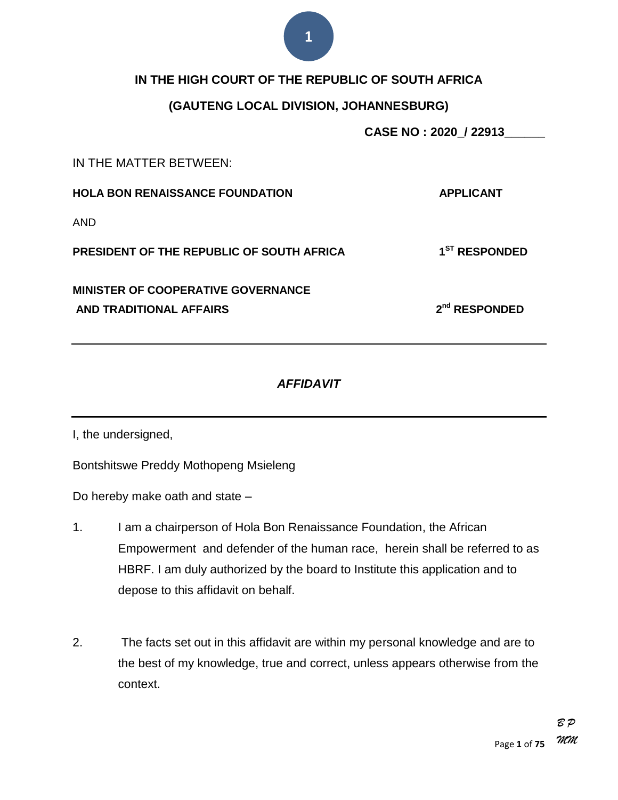#### **IN THE HIGH COURT OF THE REPUBLIC OF SOUTH AFRICA**

#### **(GAUTENG LOCAL DIVISION, JOHANNESBURG)**

**CASE NO : 2020\_/ 22913\_\_\_\_\_\_**

IN THE MATTER BETWEEN:

**HOLA BON RENAISSANCE FOUNDATION APPLICANT** AND **PRESIDENT OF THE REPUBLIC OF SOUTH AFRICA 1 ST RESPONDED MINISTER OF COOPERATIVE GOVERNANCE AND TRADITIONAL AFFAIRS 2 nd RESPONDED**

#### *AFFIDAVIT*

I, the undersigned,

Bontshitswe Preddy Mothopeng Msieleng

Do hereby make oath and state –

- 1. I am a chairperson of Hola Bon Renaissance Foundation, the African Empowerment and defender of the human race, herein shall be referred to as HBRF. I am duly authorized by the board to Institute this application and to depose to this affidavit on behalf.
- 2. The facts set out in this affidavit are within my personal knowledge and are to the best of my knowledge, true and correct, unless appears otherwise from the context.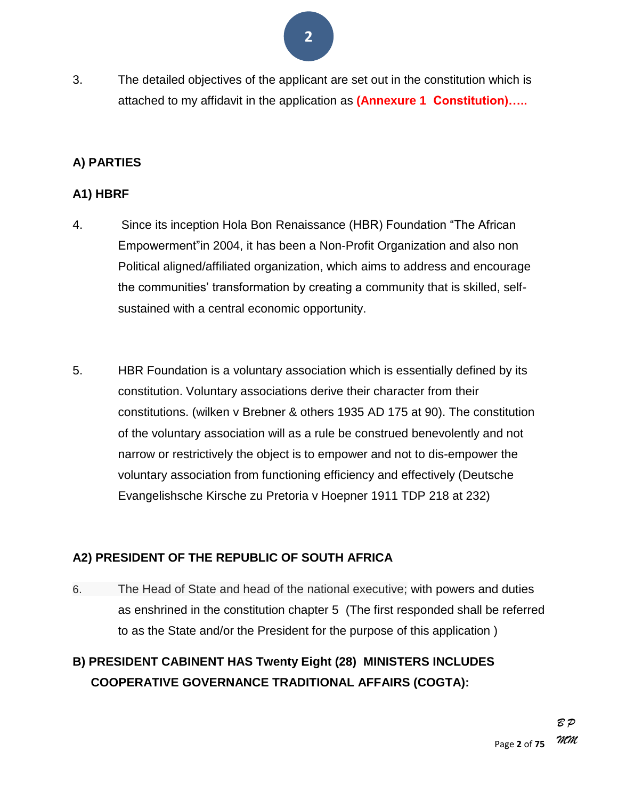- **2**
- 3. The detailed objectives of the applicant are set out in the constitution which is attached to my affidavit in the application as **(Annexure 1 Constitution)…..**

#### **A) PARTIES**

#### **A1) HBRF**

- 4. Since its inception Hola Bon Renaissance (HBR) Foundation "The African Empowerment" in 2004, it has been a Non-Profit Organization and also non Political aligned/affiliated organization, which aims to address and encourage the communities' transformation by creating a community that is skilled, selfsustained with a central economic opportunity.
- 5. HBR Foundation is a voluntary association which is essentially defined by its constitution. Voluntary associations derive their character from their constitutions. (wilken v Brebner & others 1935 AD 175 at 90). The constitution of the voluntary association will as a rule be construed benevolently and not narrow or restrictively the object is to empower and not to dis-empower the voluntary association from functioning efficiency and effectively (Deutsche Evangelishsche Kirsche zu Pretoria v Hoepner 1911 TDP 218 at 232)

#### **A2) PRESIDENT OF THE REPUBLIC OF SOUTH AFRICA**

6. The Head of State and head of the national executive; with powers and duties as enshrined in the constitution chapter 5 (The first responded shall be referred to as the State and/or the President for the purpose of this application )

#### **B) PRESIDENT CABINENT HAS Twenty Eight (28) MINISTERS INCLUDES COOPERATIVE GOVERNANCE TRADITIONAL AFFAIRS (COGTA):**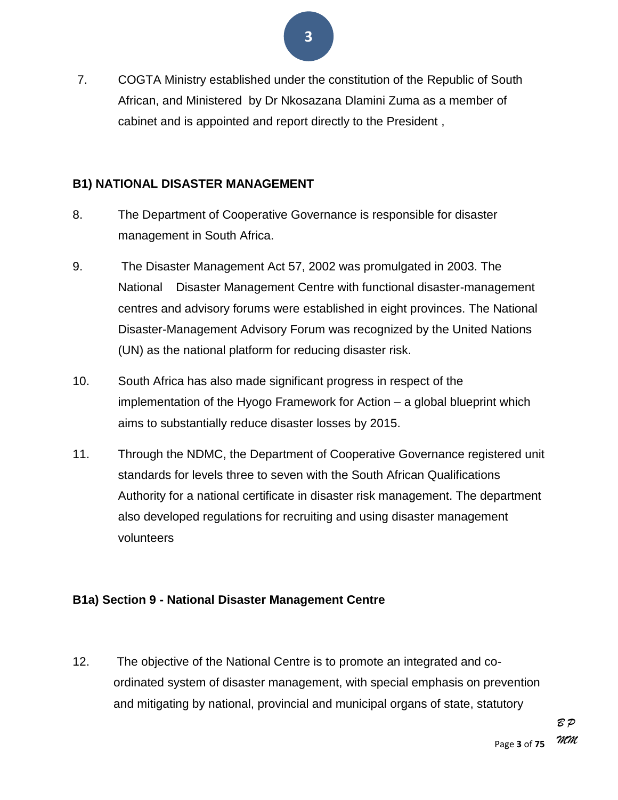- **3**
- 7. COGTA Ministry established under the constitution of the Republic of South African, and Ministered by Dr Nkosazana Dlamini Zuma as a member of cabinet and is appointed and report directly to the President ,

#### **B1) NATIONAL DISASTER MANAGEMENT**

- 8. The Department of Cooperative Governance is responsible for disaster management in South Africa.
- 9. The Disaster Management Act 57, 2002 was promulgated in 2003. The National Disaster Management Centre with functional disaster-management centres and advisory forums were established in eight provinces. The National Disaster-Management Advisory Forum was recognized by the United Nations (UN) as the national platform for reducing disaster risk.
- 10. South Africa has also made significant progress in respect of the implementation of the Hyogo Framework for Action – a global blueprint which aims to substantially reduce disaster losses by 2015.
- 11. Through the NDMC, the Department of Cooperative Governance registered unit standards for levels three to seven with the South African Qualifications Authority for a national certificate in disaster risk management. The department also developed regulations for recruiting and using disaster management volunteers

#### **B1a) Section 9 - National Disaster Management Centre**

12. The objective of the National Centre is to promote an integrated and coordinated system of disaster management, with special emphasis on prevention and mitigating by national, provincial and municipal organs of state, statutory

> Page **3** of **75** *B P MM*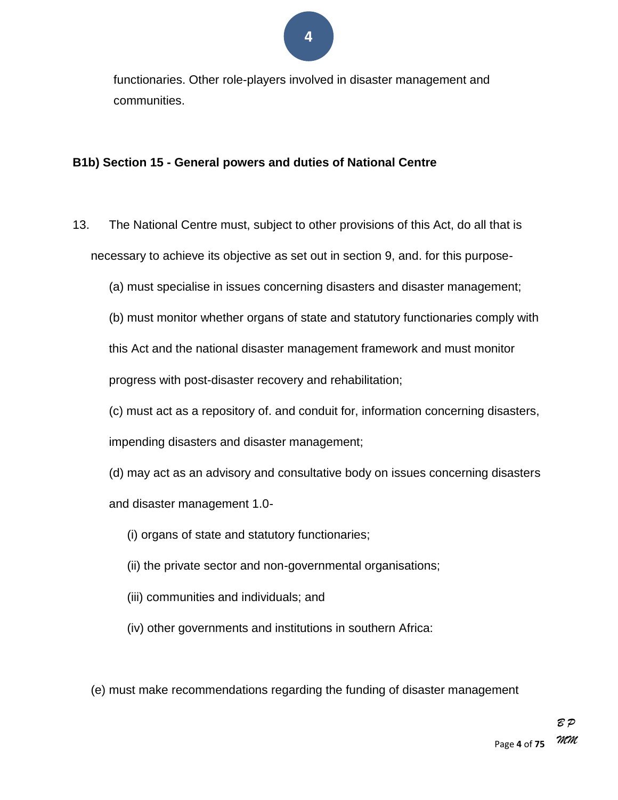functionaries. Other role-players involved in disaster management and communities.

#### **B1b) Section 15 - General powers and duties of National Centre**

- 13. The National Centre must, subject to other provisions of this Act, do all that is necessary to achieve its objective as set out in section 9, and. for this purpose-
	- (a) must specialise in issues concerning disasters and disaster management;
	- (b) must monitor whether organs of state and statutory functionaries comply with

this Act and the national disaster management framework and must monitor

progress with post-disaster recovery and rehabilitation;

(c) must act as a repository of. and conduit for, information concerning disasters,

impending disasters and disaster management;

- (d) may act as an advisory and consultative body on issues concerning disasters and disaster management 1.0-
	- (i) organs of state and statutory functionaries;
	- (ii) the private sector and non-governmental organisations;
	- (iii) communities and individuals; and
	- (iv) other governments and institutions in southern Africa:

(e) must make recommendations regarding the funding of disaster management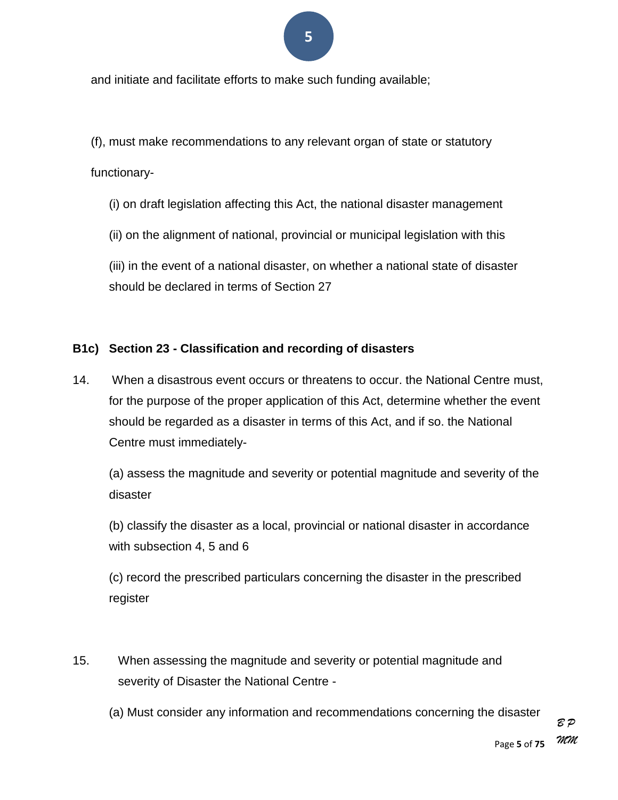and initiate and facilitate efforts to make such funding available;

(f), must make recommendations to any relevant organ of state or statutory

#### functionary-

- (i) on draft legislation affecting this Act, the national disaster management
- (ii) on the alignment of national, provincial or municipal legislation with this

(iii) in the event of a national disaster, on whether a national state of disaster should be declared in terms of Section 27

#### **B1c) Section 23 - Classification and recording of disasters**

14. When a disastrous event occurs or threatens to occur. the National Centre must, for the purpose of the proper application of this Act, determine whether the event should be regarded as a disaster in terms of this Act, and if so. the National Centre must immediately-

(a) assess the magnitude and severity or potential magnitude and severity of the disaster

(b) classify the disaster as a local, provincial or national disaster in accordance with subsection 4, 5 and 6

(c) record the prescribed particulars concerning the disaster in the prescribed register

- 15. When assessing the magnitude and severity or potential magnitude and severity of Disaster the National Centre -
	- (a) Must consider any information and recommendations concerning the disaster

Page **5** of **75** *MM*

*B P*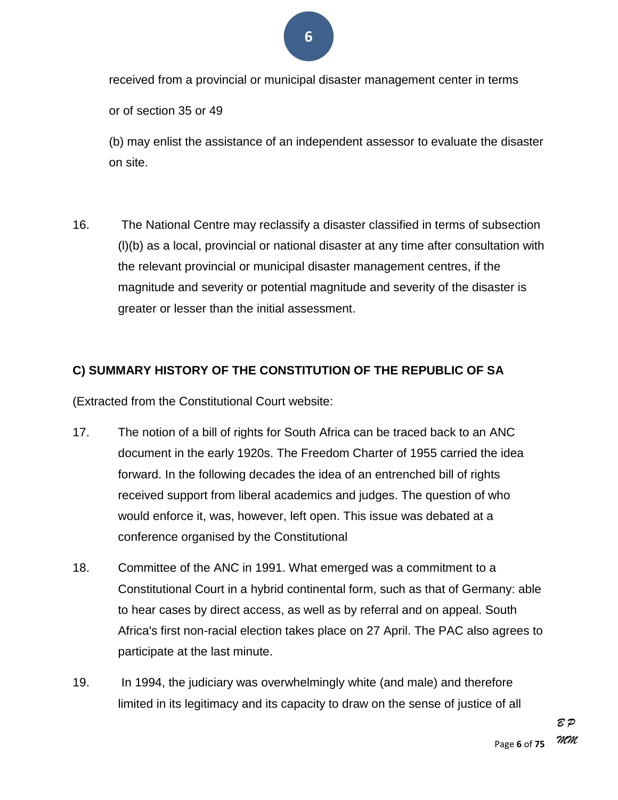received from a provincial or municipal disaster management center in terms

or of section 35 or 49

(b) may enlist the assistance of an independent assessor to evaluate the disaster on site.

16. The National Centre may reclassify a disaster classified in terms of subsection (l)(b) as a local, provincial or national disaster at any time after consultation with the relevant provincial or municipal disaster management centres, if the magnitude and severity or potential magnitude and severity of the disaster is greater or lesser than the initial assessment.

#### **C) SUMMARY HISTORY OF THE CONSTITUTION OF THE REPUBLIC OF SA**

(Extracted from the Constitutional Court website:

- 17. The notion of a bill of rights for South Africa can be traced back to an ANC document in the early 1920s. The Freedom Charter of 1955 carried the idea forward. In the following decades the idea of an entrenched bill of rights received support from liberal academics and judges. The question of who would enforce it, was, however, left open. This issue was debated at a conference organised by the Constitutional
- 18. Committee of the ANC in 1991. What emerged was a commitment to a Constitutional Court in a hybrid continental form, such as that of Germany: able to hear cases by direct access, as well as by referral and on appeal. South Africa's first non-racial election takes place on 27 April. The PAC also agrees to participate at the last minute.
- 19. In 1994, the judiciary was overwhelmingly white (and male) and therefore limited in its legitimacy and its capacity to draw on the sense of justice of all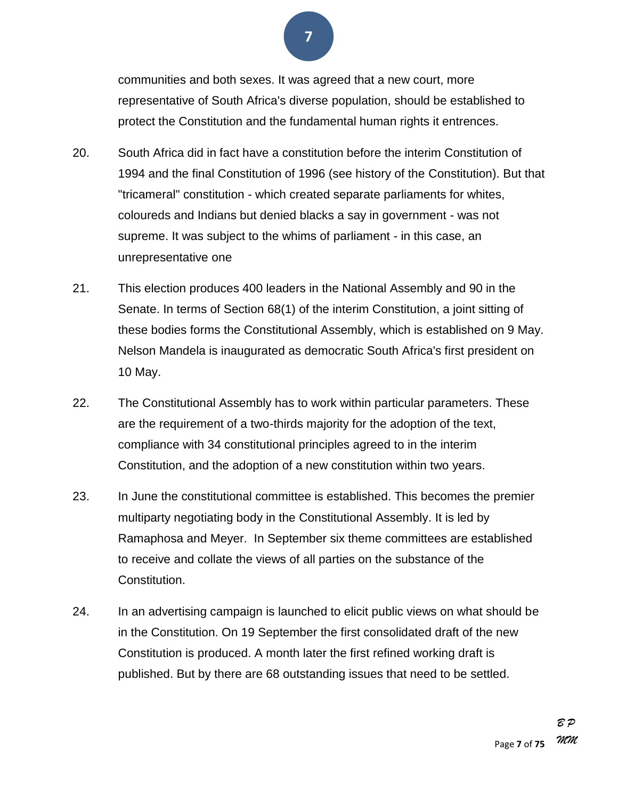communities and both sexes. It was agreed that a new court, more representative of South Africa's diverse population, should be established to protect the Constitution and the fundamental human rights it entrences.

- 20. South Africa did in fact have a constitution before the interim Constitution of 1994 and the final Constitution of 1996 (see history of the Constitution). But that "tricameral" constitution - which created separate parliaments for whites, coloureds and Indians but denied blacks a say in government - was not supreme. It was subject to the whims of parliament - in this case, an unrepresentative one
- 21. This election produces 400 leaders in the National Assembly and 90 in the Senate. In terms of Section 68(1) of the interim Constitution, a joint sitting of these bodies forms the Constitutional Assembly, which is established on 9 May. Nelson Mandela is inaugurated as democratic South Africa's first president on 10 May.
- 22. The Constitutional Assembly has to work within particular parameters. These are the requirement of a two-thirds majority for the adoption of the text, compliance with 34 constitutional principles agreed to in the interim Constitution, and the adoption of a new constitution within two years.
- 23. In June the constitutional committee is established. This becomes the premier multiparty negotiating body in the Constitutional Assembly. It is led by Ramaphosa and Meyer. In September six theme committees are established to receive and collate the views of all parties on the substance of the Constitution.
- 24. In an advertising campaign is launched to elicit public views on what should be in the Constitution. On 19 September the first consolidated draft of the new Constitution is produced. A month later the first refined working draft is published. But by there are 68 outstanding issues that need to be settled.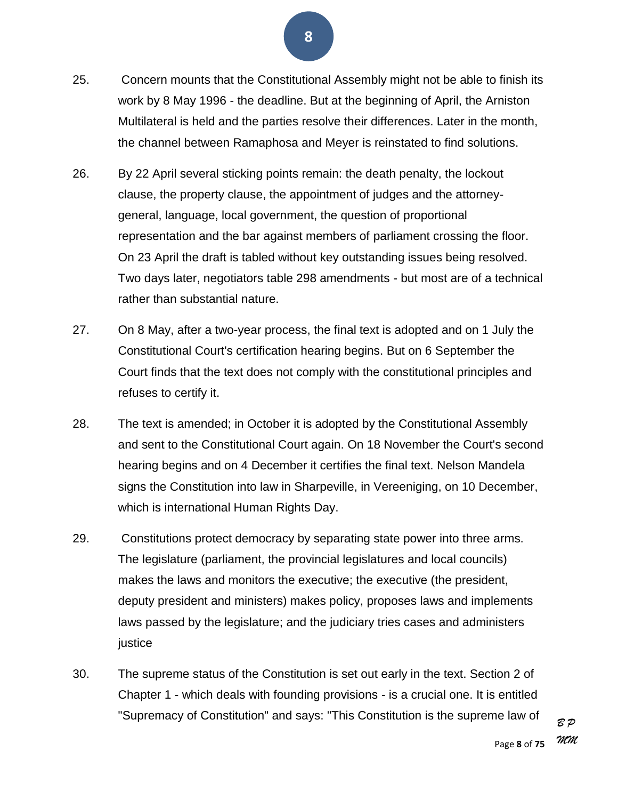- 25. Concern mounts that the Constitutional Assembly might not be able to finish its work by 8 May 1996 - the deadline. But at the beginning of April, the Arniston Multilateral is held and the parties resolve their differences. Later in the month, the channel between Ramaphosa and Meyer is reinstated to find solutions.
- 26. By 22 April several sticking points remain: the death penalty, the lockout clause, the property clause, the appointment of judges and the attorneygeneral, language, local government, the question of proportional representation and the bar against members of parliament crossing the floor. On 23 April the draft is tabled without key outstanding issues being resolved. Two days later, negotiators table 298 amendments - but most are of a technical rather than substantial nature.
- 27. On 8 May, after a two-year process, the final text is adopted and on 1 July the Constitutional Court's certification hearing begins. But on 6 September the Court finds that the text does not comply with the constitutional principles and refuses to certify it.
- 28. The text is amended; in October it is adopted by the Constitutional Assembly and sent to the Constitutional Court again. On 18 November the Court's second hearing begins and on 4 December it certifies the final text. Nelson Mandela signs the Constitution into law in Sharpeville, in Vereeniging, on 10 December, which is international Human Rights Day.
- 29. Constitutions protect democracy by separating state power into three arms. The legislature (parliament, the provincial legislatures and local councils) makes the laws and monitors the executive; the executive (the president, deputy president and ministers) makes policy, proposes laws and implements laws passed by the legislature; and the judiciary tries cases and administers justice
- 30. The supreme status of the Constitution is set out early in the text. Section 2 of Chapter 1 - which deals with founding provisions - is a crucial one. It is entitled "Supremacy of Constitution" and says: "This Constitution is the supreme law of

*B P MM*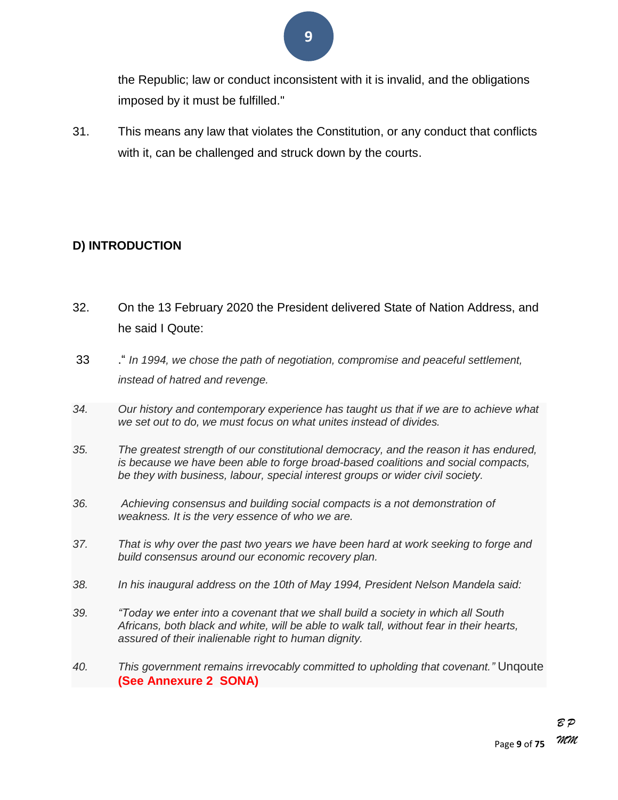the Republic; law or conduct inconsistent with it is invalid, and the obligations imposed by it must be fulfilled."

31. This means any law that violates the Constitution, or any conduct that conflicts with it, can be challenged and struck down by the courts.

#### **D) INTRODUCTION**

- 32. On the 13 February 2020 the President delivered State of Nation Address, and he said I Qoute:
- 33 .― *In 1994, we chose the path of negotiation, compromise and peaceful settlement, instead of hatred and revenge.*
- *34. Our history and contemporary experience has taught us that if we are to achieve what we set out to do, we must focus on what unites instead of divides.*
- *35. The greatest strength of our constitutional democracy, and the reason it has endured, is because we have been able to forge broad-based coalitions and social compacts, be they with business, labour, special interest groups or wider civil society.*
- *36. Achieving consensus and building social compacts is a not demonstration of weakness. It is the very essence of who we are.*
- *37. That is why over the past two years we have been hard at work seeking to forge and build consensus around our economic recovery plan.*
- *38. In his inaugural address on the 10th of May 1994, President Nelson Mandela said:*
- *39. "Today we enter into a covenant that we shall build a society in which all South Africans, both black and white, will be able to walk tall, without fear in their hearts, assured of their inalienable right to human dignity.*
- *40. This government remains irrevocably committed to upholding that covenant."* Unqoute **(See Annexure 2 SONA)**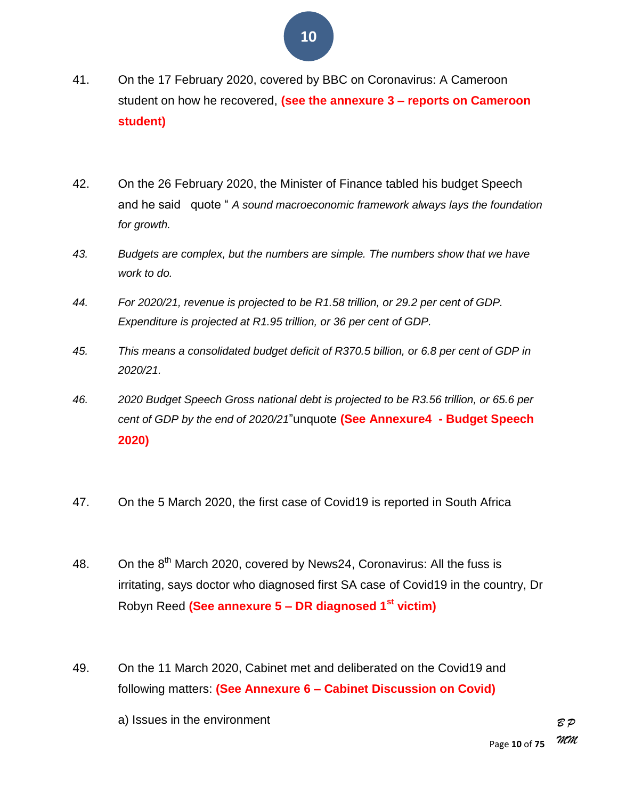- 41. On the 17 February 2020, covered by BBC on Coronavirus: A Cameroon student on how he recovered, **(see the annexure 3 – reports on Cameroon student)**
- 42. On the 26 February 2020, the Minister of Finance tabled his budget Speech and he said quote " A sound macroeconomic framework always lays the foundation *for growth.*
- *43. Budgets are complex, but the numbers are simple. The numbers show that we have work to do.*
- *44. For 2020/21, revenue is projected to be R1.58 trillion, or 29.2 per cent of GDP. Expenditure is projected at R1.95 trillion, or 36 per cent of GDP.*
- *45. This means a consolidated budget deficit of R370.5 billion, or 6.8 per cent of GDP in 2020/21.*
- *46. 2020 Budget Speech Gross national debt is projected to be R3.56 trillion, or 65.6 per cent of GDP by the end of 2020/21*‖unquote **(See Annexure4 - Budget Speech 2020)**
- 47. On the 5 March 2020, the first case of Covid19 is reported in South Africa
- 48. On the  $8<sup>th</sup>$  March 2020, covered by News24, Coronavirus: All the fuss is irritating, says doctor who diagnosed first SA case of Covid19 in the country, Dr Robyn Reed **(See annexure 5 – DR diagnosed 1st victim)**
- 49. On the 11 March 2020, Cabinet met and deliberated on the Covid19 and following matters: **(See Annexure 6 – Cabinet Discussion on Covid)**
	- a) Issues in the environment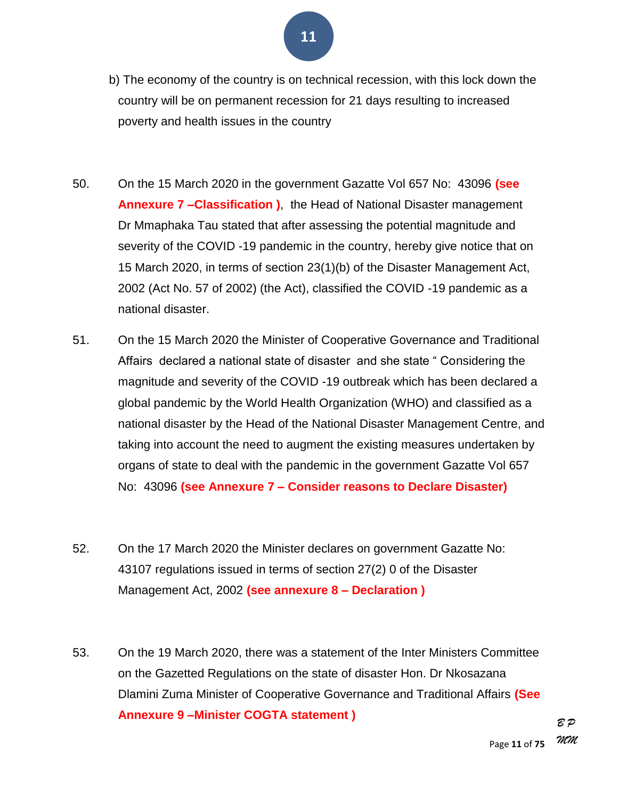- b) The economy of the country is on technical recession, with this lock down the country will be on permanent recession for 21 days resulting to increased poverty and health issues in the country
- 50. On the 15 March 2020 in the government Gazatte Vol 657 No: 43096 **(see Annexure 7 –Classification )**, the Head of National Disaster management Dr Mmaphaka Tau stated that after assessing the potential magnitude and severity of the COVID -19 pandemic in the country, hereby give notice that on 15 March 2020, in terms of section 23(1)(b) of the Disaster Management Act, 2002 (Act No. 57 of 2002) (the Act), classified the COVID -19 pandemic as a national disaster.
- 51. On the 15 March 2020 the Minister of Cooperative Governance and Traditional Affairs declared a national state of disaster and she state "Considering the magnitude and severity of the COVID -19 outbreak which has been declared a global pandemic by the World Health Organization (WHO) and classified as a national disaster by the Head of the National Disaster Management Centre, and taking into account the need to augment the existing measures undertaken by organs of state to deal with the pandemic in the government Gazatte Vol 657 No: 43096 **(see Annexure 7 – Consider reasons to Declare Disaster)**
- 52. On the 17 March 2020 the Minister declares on government Gazatte No: 43107 regulations issued in terms of section 27(2) 0 of the Disaster Management Act, 2002 **(see annexure 8 – Declaration )**
- 53. On the 19 March 2020, there was a statement of the Inter Ministers Committee on the Gazetted Regulations on the state of disaster Hon. Dr Nkosazana Dlamini Zuma Minister of Cooperative Governance and Traditional Affairs **(See Annexure 9 –Minister COGTA statement )**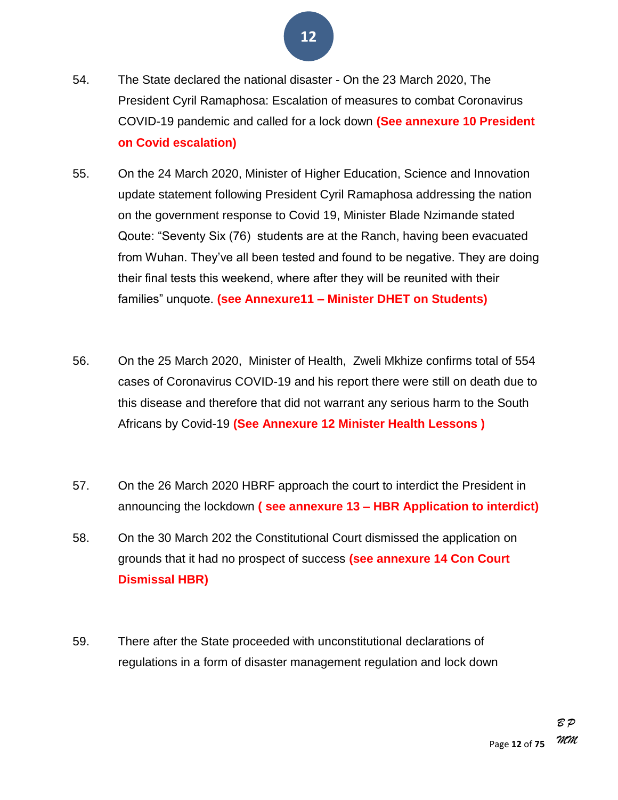- 54. The State declared the national disaster On the 23 March 2020, The President Cyril Ramaphosa: Escalation of measures to combat Coronavirus COVID-19 pandemic and called for a lock down **(See annexure 10 President on Covid escalation)**
- 55. On the 24 March 2020, Minister of Higher Education, Science and Innovation update statement following President Cyril Ramaphosa addressing the nation on the government response to Covid 19, Minister Blade Nzimande stated Qoute: "Seventy Six (76) students are at the Ranch, having been evacuated from Wuhan. They've all been tested and found to be negative. They are doing their final tests this weekend, where after they will be reunited with their families‖ unquote. **(see Annexure11 – Minister DHET on Students)**
- 56. On the 25 March 2020, Minister of Health, Zweli Mkhize confirms total of 554 cases of Coronavirus COVID-19 and his report there were still on death due to this disease and therefore that did not warrant any serious harm to the South Africans by Covid-19 **(See Annexure 12 Minister Health Lessons )**
- 57. On the 26 March 2020 HBRF approach the court to interdict the President in announcing the lockdown **( see annexure 13 – HBR Application to interdict)**
- 58. On the 30 March 202 the Constitutional Court dismissed the application on grounds that it had no prospect of success **(see annexure 14 Con Court Dismissal HBR)**
- 59. There after the State proceeded with unconstitutional declarations of regulations in a form of disaster management regulation and lock down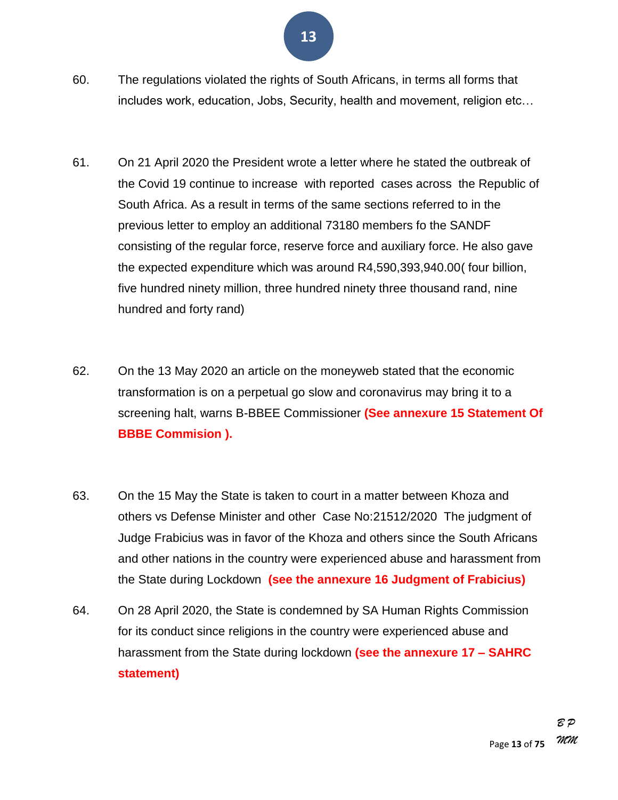- 60. The regulations violated the rights of South Africans, in terms all forms that includes work, education, Jobs, Security, health and movement, religion etc…
- 61. On 21 April 2020 the President wrote a letter where he stated the outbreak of the Covid 19 continue to increase with reported cases across the Republic of South Africa. As a result in terms of the same sections referred to in the previous letter to employ an additional 73180 members fo the SANDF consisting of the regular force, reserve force and auxiliary force. He also gave the expected expenditure which was around R4,590,393,940.00( four billion, five hundred ninety million, three hundred ninety three thousand rand, nine hundred and forty rand)
- 62. On the 13 May 2020 an article on the moneyweb stated that the economic transformation is on a perpetual go slow and coronavirus may bring it to a screening halt, warns B-BBEE Commissioner **(See annexure 15 Statement Of BBBE Commision ).**
- 63. On the 15 May the State is taken to court in a matter between Khoza and others vs Defense Minister and other Case No:21512/2020 The judgment of Judge Frabicius was in favor of the Khoza and others since the South Africans and other nations in the country were experienced abuse and harassment from the State during Lockdown **(see the annexure 16 Judgment of Frabicius)**
- 64. On 28 April 2020, the State is condemned by SA Human Rights Commission for its conduct since religions in the country were experienced abuse and harassment from the State during lockdown **(see the annexure 17 – SAHRC statement)**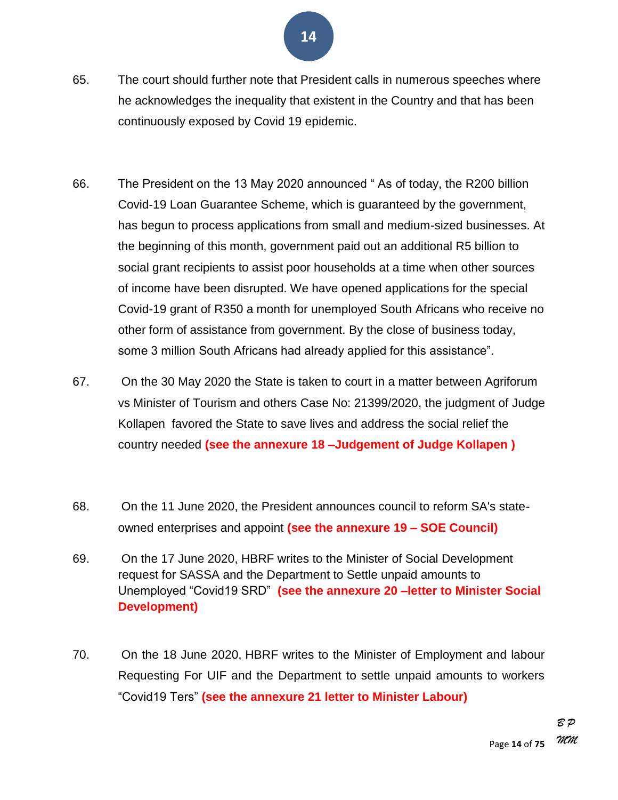- 65. The court should further note that President calls in numerous speeches where he acknowledges the inequality that existent in the Country and that has been continuously exposed by Covid 19 epidemic.
- 66. The President on the 13 May 2020 announced "As of today, the R200 billion Covid-19 Loan Guarantee Scheme, which is guaranteed by the government, has begun to process applications from small and medium-sized businesses. At the beginning of this month, government paid out an additional R5 billion to social grant recipients to assist poor households at a time when other sources of income have been disrupted. We have opened applications for the special Covid-19 grant of R350 a month for unemployed South Africans who receive no other form of assistance from government. By the close of business today, some 3 million South Africans had already applied for this assistance".
- 67. On the 30 May 2020 the State is taken to court in a matter between Agriforum vs Minister of Tourism and others Case No: 21399/2020, the judgment of Judge Kollapen favored the State to save lives and address the social relief the country needed **(see the annexure 18 –Judgement of Judge Kollapen )**
- 68. On the 11 June 2020, the President announces council to reform SA's stateowned enterprises and appoint **(see the annexure 19 – SOE Council)**
- 69. On the 17 June 2020, HBRF writes to the Minister of Social Development request for SASSA and the Department to Settle unpaid amounts to Unemployed ―Covid19 SRD‖ **(see the annexure 20 –letter to Minister Social Development)**
- 70. On the 18 June 2020, HBRF writes to the Minister of Employment and labour Requesting For UIF and the Department to settle unpaid amounts to workers ―Covid19 Ters‖ **(see the annexure 21 letter to Minister Labour)**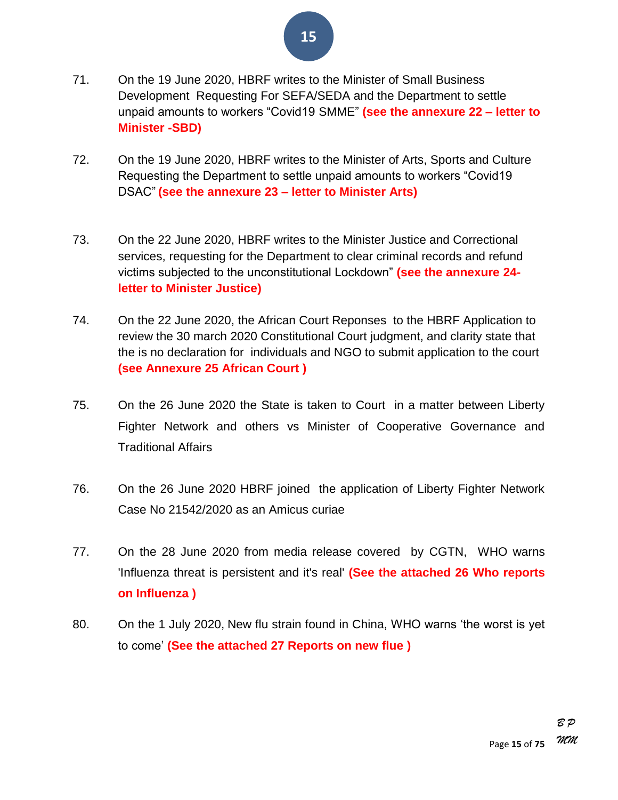

- 71. On the 19 June 2020, HBRF writes to the Minister of Small Business Development Requesting For SEFA/SEDA and the Department to settle unpaid amounts to workers ―Covid19 SMME‖ **(see the annexure 22 – letter to Minister -SBD)**
- 72. On the 19 June 2020, HBRF writes to the Minister of Arts, Sports and Culture Requesting the Department to settle unpaid amounts to workers "Covid19" DSAC‖ **(see the annexure 23 – letter to Minister Arts)**
- 73. On the 22 June 2020, HBRF writes to the Minister Justice and Correctional services, requesting for the Department to clear criminal records and refund victims subjected to the unconstitutional Lockdown‖ **(see the annexure 24 letter to Minister Justice)**
- 74. On the 22 June 2020, the African Court Reponses to the HBRF Application to review the 30 march 2020 Constitutional Court judgment, and clarity state that the is no declaration for individuals and NGO to submit application to the court **(see Annexure 25 African Court )**
- 75. On the 26 June 2020 the State is taken to Court in a matter between Liberty Fighter Network and others vs Minister of Cooperative Governance and Traditional Affairs
- 76. On the 26 June 2020 HBRF joined the application of Liberty Fighter Network Case No 21542/2020 as an Amicus curiae
- 77. On the 28 June 2020 from media release covered by CGTN, WHO warns 'Influenza threat is persistent and it's real' **(See the attached 26 Who reports on Influenza )**
- 80. On the 1 July 2020, New flu strain found in China, WHO warns 'the worst is yet to come' **(See the attached 27 Reports on new flue )**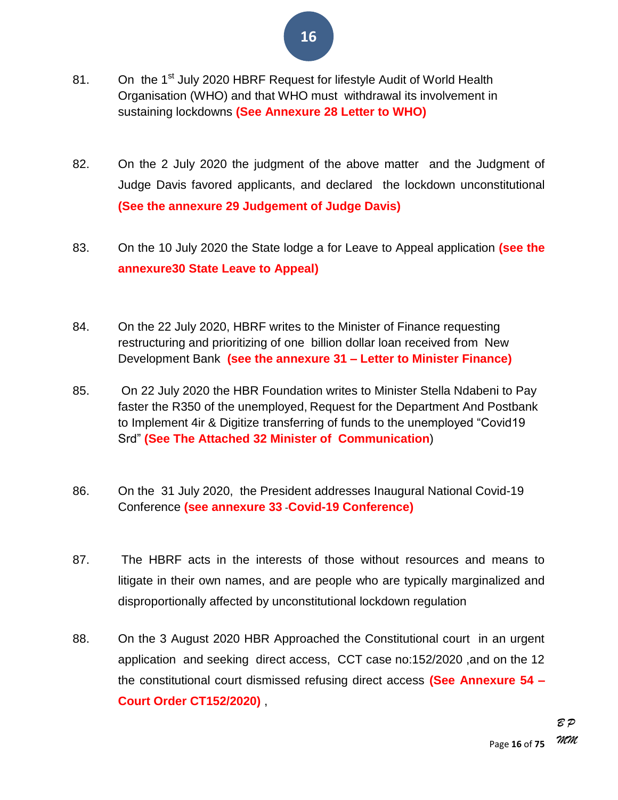- 81. On the 1<sup>st</sup> July 2020 HBRF Request for lifestyle Audit of World Health Organisation (WHO) and that WHO must withdrawal its involvement in sustaining lockdowns **(See Annexure 28 Letter to WHO)**
- 82. On the 2 July 2020 the judgment of the above matter and the Judgment of Judge Davis favored applicants, and declared the lockdown unconstitutional **(See the annexure 29 Judgement of Judge Davis)**
- 83. On the 10 July 2020 the State lodge a for Leave to Appeal application **(see the annexure30 State Leave to Appeal)**
- 84. On the 22 July 2020, HBRF writes to the Minister of Finance requesting restructuring and prioritizing of one billion dollar loan received from New Development Bank **(see the annexure 31 – Letter to Minister Finance)**
- 85. On 22 July 2020 the HBR Foundation writes to Minister Stella Ndabeni to Pay faster the R350 of the unemployed, Request for the Department And Postbank to Implement 4ir & Digitize transferring of funds to the unemployed "Covid19" Srd‖ **(See The Attached 32 Minister of Communication**)
- 86. On the 31 July 2020, the President addresses Inaugural National Covid-19 Conference **(see annexure 33** -**Covid-19 Conference)**
- 87. The HBRF acts in the interests of those without resources and means to litigate in their own names, and are people who are typically marginalized and disproportionally affected by unconstitutional lockdown regulation
- 88. On the 3 August 2020 HBR Approached the Constitutional court in an urgent application and seeking direct access, CCT case no:152/2020 ,and on the 12 the constitutional court dismissed refusing direct access **(See Annexure 54 – Court Order CT152/2020)** ,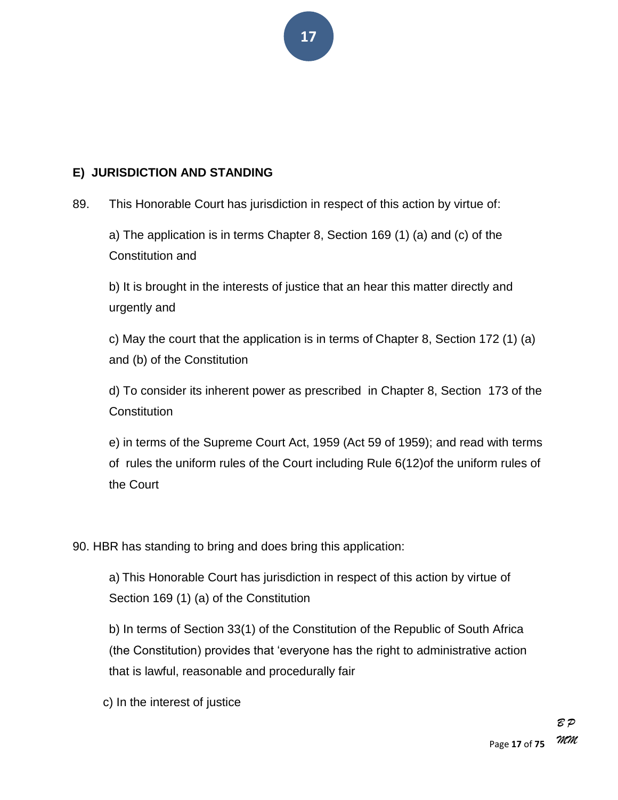

#### **E) JURISDICTION AND STANDING**

89. This Honorable Court has jurisdiction in respect of this action by virtue of:

a) The application is in terms Chapter 8, Section 169 (1) (a) and (c) of the Constitution and

b) It is brought in the interests of justice that an hear this matter directly and urgently and

c) May the court that the application is in terms of Chapter 8, Section 172 (1) (a) and (b) of the Constitution

d) To consider its inherent power as prescribed in Chapter 8, Section 173 of the **Constitution** 

e) in terms of the Supreme Court Act, 1959 (Act 59 of 1959); and read with terms of rules the uniform rules of the Court including Rule 6(12)of the uniform rules of the Court

90. HBR has standing to bring and does bring this application:

a) This Honorable Court has jurisdiction in respect of this action by virtue of Section 169 (1) (a) of the Constitution

b) In terms of Section 33(1) of the Constitution of the Republic of South Africa (the Constitution) provides that 'everyone has the right to administrative action that is lawful, reasonable and procedurally fair

c) In the interest of justice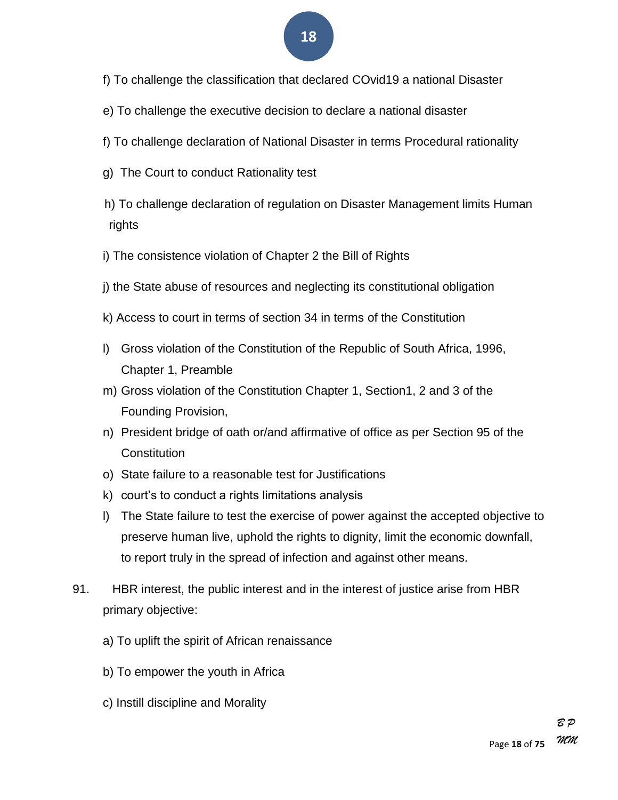- f) To challenge the classification that declared COvid19 a national Disaster
- e) To challenge the executive decision to declare a national disaster
- f) To challenge declaration of National Disaster in terms Procedural rationality
- g) The Court to conduct Rationality test
- h) To challenge declaration of regulation on Disaster Management limits Human rights
- i) The consistence violation of Chapter 2 the Bill of Rights
- j) the State abuse of resources and neglecting its constitutional obligation
- k) Access to court in terms of section 34 in terms of the Constitution
- l) Gross violation of the Constitution of the Republic of South Africa, 1996, Chapter 1, Preamble
- m) Gross violation of the Constitution Chapter 1, Section1, 2 and 3 of the Founding Provision,
- n) President bridge of oath or/and affirmative of office as per Section 95 of the **Constitution**
- o) State failure to a reasonable test for Justifications
- k) court's to conduct a rights limitations analysis
- l) The State failure to test the exercise of power against the accepted objective to preserve human live, uphold the rights to dignity, limit the economic downfall, to report truly in the spread of infection and against other means.
- 91. HBR interest, the public interest and in the interest of justice arise from HBR primary objective:
	- a) To uplift the spirit of African renaissance
	- b) To empower the youth in Africa
	- c) Instill discipline and Morality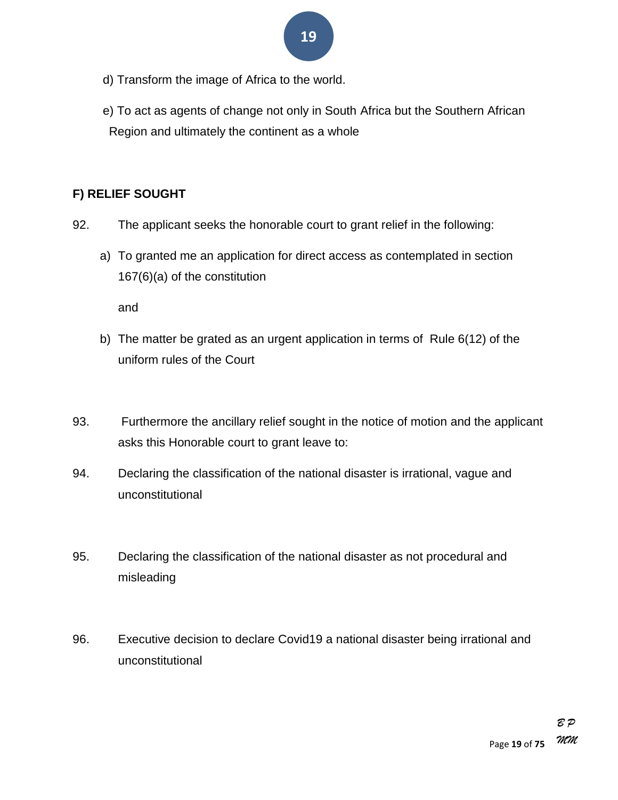- **19**
- d) Transform the image of Africa to the world.
- e) To act as agents of change not only in South Africa but the Southern African Region and ultimately the continent as a whole

#### **F) RELIEF SOUGHT**

- 92. The applicant seeks the honorable court to grant relief in the following:
	- a) To granted me an application for direct access as contemplated in section 167(6)(a) of the constitution

and

- b) The matter be grated as an urgent application in terms of Rule 6(12) of the uniform rules of the Court
- 93. Furthermore the ancillary relief sought in the notice of motion and the applicant asks this Honorable court to grant leave to:
- 94. Declaring the classification of the national disaster is irrational, vague and unconstitutional
- 95. Declaring the classification of the national disaster as not procedural and misleading
- 96. Executive decision to declare Covid19 a national disaster being irrational and unconstitutional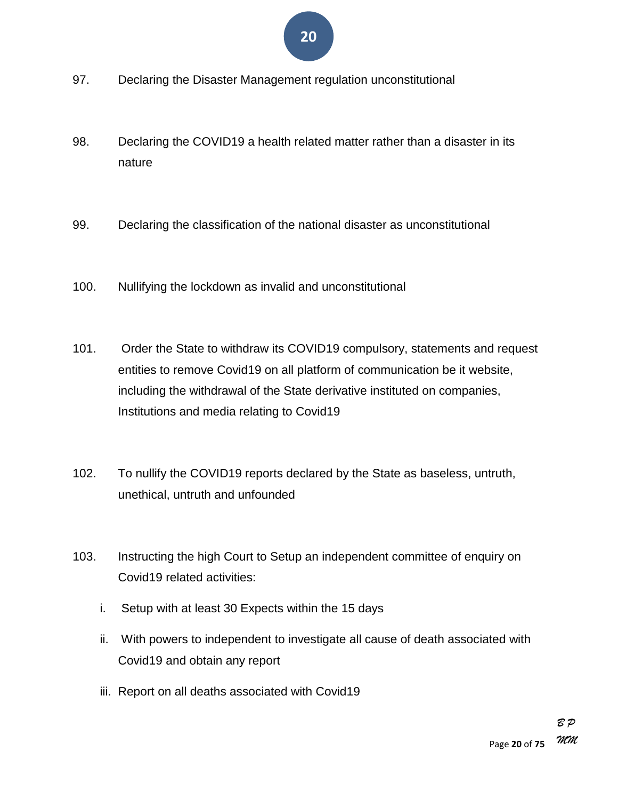

- 97. Declaring the Disaster Management regulation unconstitutional
- 98. Declaring the COVID19 a health related matter rather than a disaster in its nature
- 99. Declaring the classification of the national disaster as unconstitutional
- 100. Nullifying the lockdown as invalid and unconstitutional
- 101. Order the State to withdraw its COVID19 compulsory, statements and request entities to remove Covid19 on all platform of communication be it website, including the withdrawal of the State derivative instituted on companies, Institutions and media relating to Covid19
- 102. To nullify the COVID19 reports declared by the State as baseless, untruth, unethical, untruth and unfounded
- 103. Instructing the high Court to Setup an independent committee of enquiry on Covid19 related activities:
	- i. Setup with at least 30 Expects within the 15 days
	- ii. With powers to independent to investigate all cause of death associated with Covid19 and obtain any report
	- iii. Report on all deaths associated with Covid19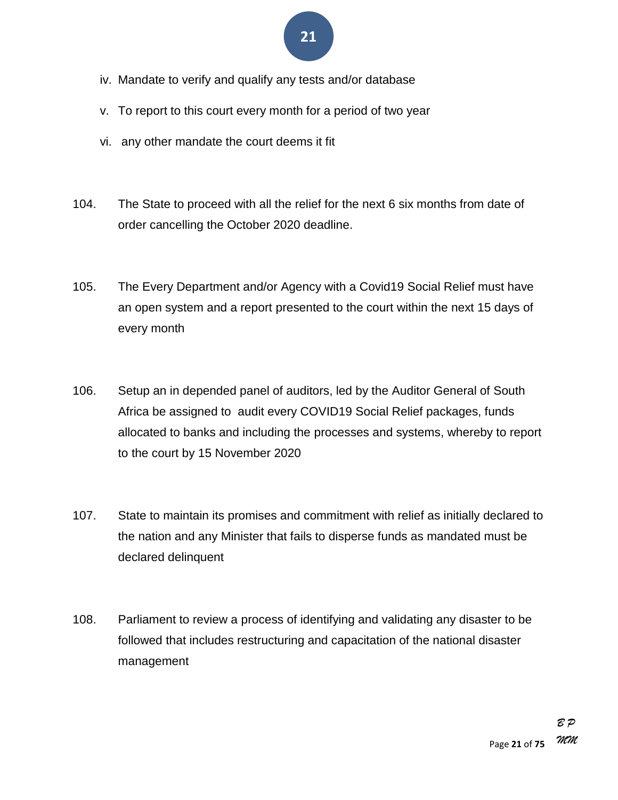- iv. Mandate to verify and qualify any tests and/or database
- v. To report to this court every month for a period of two year
- vi. any other mandate the court deems it fit
- 104. The State to proceed with all the relief for the next 6 six months from date of order cancelling the October 2020 deadline.
- 105. The Every Department and/or Agency with a Covid19 Social Relief must have an open system and a report presented to the court within the next 15 days of every month
- 106. Setup an in depended panel of auditors, led by the Auditor General of South Africa be assigned to audit every COVID19 Social Relief packages, funds allocated to banks and including the processes and systems, whereby to report to the court by 15 November 2020
- 107. State to maintain its promises and commitment with relief as initially declared to the nation and any Minister that fails to disperse funds as mandated must be declared delinquent
- 108. Parliament to review a process of identifying and validating any disaster to be followed that includes restructuring and capacitation of the national disaster management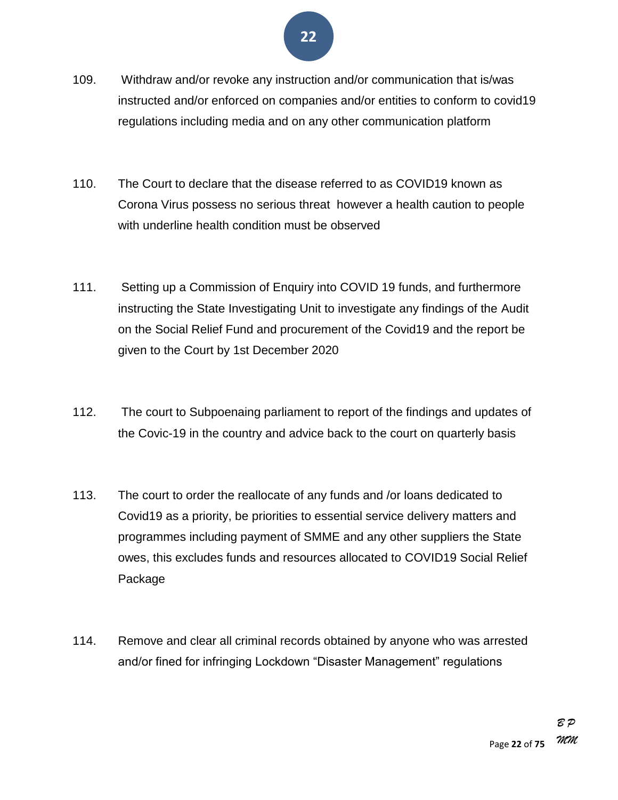

- 109. Withdraw and/or revoke any instruction and/or communication that is/was instructed and/or enforced on companies and/or entities to conform to covid19 regulations including media and on any other communication platform
- 110. The Court to declare that the disease referred to as COVID19 known as Corona Virus possess no serious threat however a health caution to people with underline health condition must be observed
- 111. Setting up a Commission of Enquiry into COVID 19 funds, and furthermore instructing the State Investigating Unit to investigate any findings of the Audit on the Social Relief Fund and procurement of the Covid19 and the report be given to the Court by 1st December 2020
- 112. The court to Subpoenaing parliament to report of the findings and updates of the Covic-19 in the country and advice back to the court on quarterly basis
- 113. The court to order the reallocate of any funds and /or loans dedicated to Covid19 as a priority, be priorities to essential service delivery matters and programmes including payment of SMME and any other suppliers the State owes, this excludes funds and resources allocated to COVID19 Social Relief Package
- 114. Remove and clear all criminal records obtained by anyone who was arrested and/or fined for infringing Lockdown "Disaster Management" regulations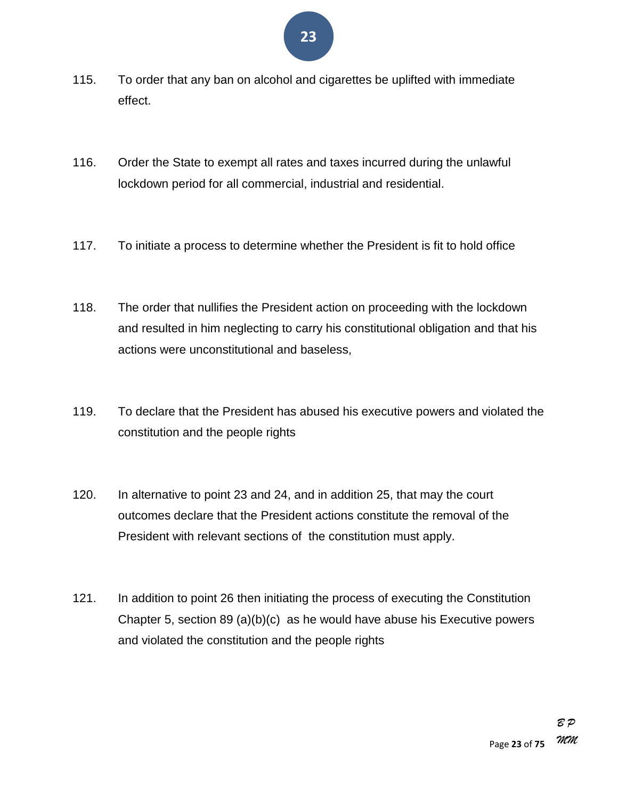- 115. To order that any ban on alcohol and cigarettes be uplifted with immediate effect.
- 116. Order the State to exempt all rates and taxes incurred during the unlawful lockdown period for all commercial, industrial and residential.
- 117. To initiate a process to determine whether the President is fit to hold office
- 118. The order that nullifies the President action on proceeding with the lockdown and resulted in him neglecting to carry his constitutional obligation and that his actions were unconstitutional and baseless,
- 119. To declare that the President has abused his executive powers and violated the constitution and the people rights
- 120. In alternative to point 23 and 24, and in addition 25, that may the court outcomes declare that the President actions constitute the removal of the President with relevant sections of the constitution must apply.
- 121. In addition to point 26 then initiating the process of executing the Constitution Chapter 5, section 89 (a)(b)(c) as he would have abuse his Executive powers and violated the constitution and the people rights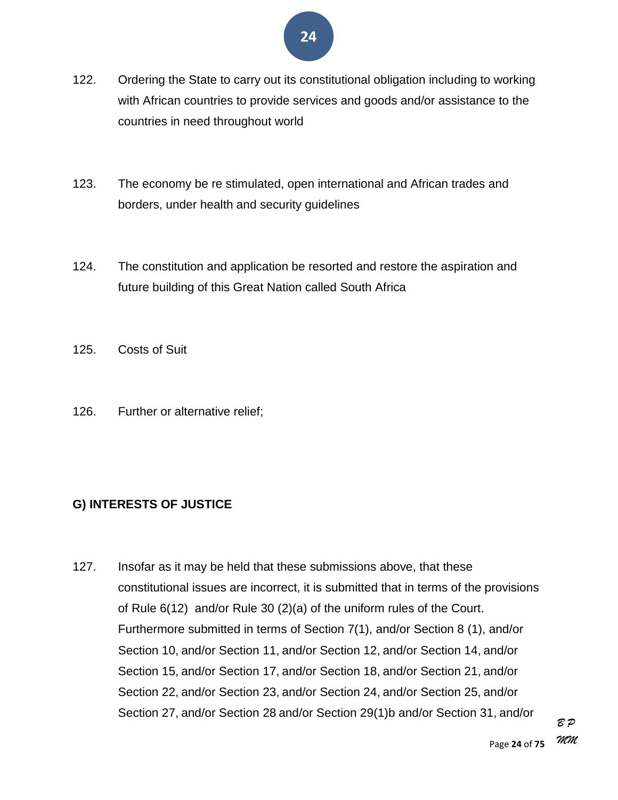- 122. Ordering the State to carry out its constitutional obligation including to working with African countries to provide services and goods and/or assistance to the countries in need throughout world
- 123. The economy be re stimulated, open international and African trades and borders, under health and security guidelines
- 124. The constitution and application be resorted and restore the aspiration and future building of this Great Nation called South Africa
- 125. Costs of Suit
- 126. Further or alternative relief;

#### **G) INTERESTS OF JUSTICE**

127. Insofar as it may be held that these submissions above, that these constitutional issues are incorrect, it is submitted that in terms of the provisions of Rule 6(12) and/or Rule 30 (2)(a) of the uniform rules of the Court. Furthermore submitted in terms of Section 7(1), and/or Section 8 (1), and/or Section 10, and/or Section 11, and/or Section 12, and/or Section 14, and/or Section 15, and/or Section 17, and/or Section 18, and/or Section 21, and/or Section 22, and/or Section 23, and/or Section 24, and/or Section 25, and/or Section 27, and/or Section 28 and/or Section 29(1)b and/or Section 31, and/or

*B P*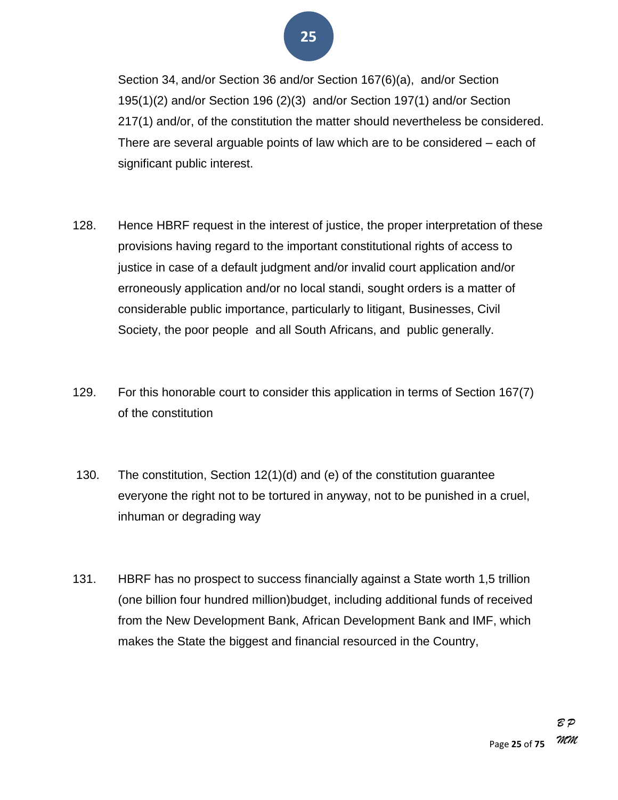Section 34, and/or Section 36 and/or Section 167(6)(a), and/or Section 195(1)(2) and/or Section 196 (2)(3) and/or Section 197(1) and/or Section 217(1) and/or, of the constitution the matter should nevertheless be considered. There are several arguable points of law which are to be considered – each of significant public interest.

- 128. Hence HBRF request in the interest of justice, the proper interpretation of these provisions having regard to the important constitutional rights of access to justice in case of a default judgment and/or invalid court application and/or erroneously application and/or no local standi, sought orders is a matter of considerable public importance, particularly to litigant, Businesses, Civil Society, the poor people and all South Africans, and public generally.
- 129. For this honorable court to consider this application in terms of Section 167(7) of the constitution
- 130. The constitution, Section 12(1)(d) and (e) of the constitution guarantee everyone the right not to be tortured in anyway, not to be punished in a cruel, inhuman or degrading way
- 131. HBRF has no prospect to success financially against a State worth 1,5 trillion (one billion four hundred million)budget, including additional funds of received from the New Development Bank, African Development Bank and IMF, which makes the State the biggest and financial resourced in the Country,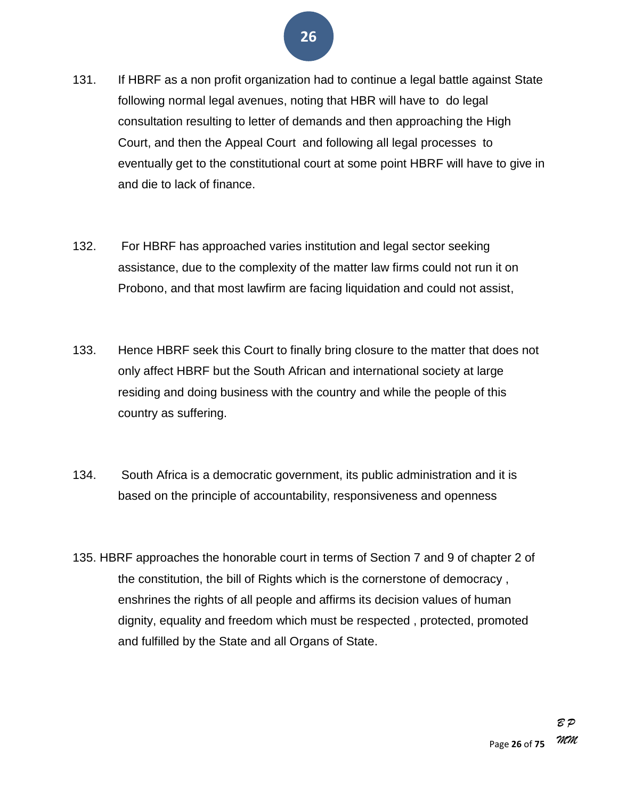- 131. If HBRF as a non profit organization had to continue a legal battle against State following normal legal avenues, noting that HBR will have to do legal consultation resulting to letter of demands and then approaching the High Court, and then the Appeal Court and following all legal processes to eventually get to the constitutional court at some point HBRF will have to give in and die to lack of finance.
- 132. For HBRF has approached varies institution and legal sector seeking assistance, due to the complexity of the matter law firms could not run it on Probono, and that most lawfirm are facing liquidation and could not assist,
- 133. Hence HBRF seek this Court to finally bring closure to the matter that does not only affect HBRF but the South African and international society at large residing and doing business with the country and while the people of this country as suffering.
- 134. South Africa is a democratic government, its public administration and it is based on the principle of accountability, responsiveness and openness
- 135. HBRF approaches the honorable court in terms of Section 7 and 9 of chapter 2 of the constitution, the bill of Rights which is the cornerstone of democracy , enshrines the rights of all people and affirms its decision values of human dignity, equality and freedom which must be respected , protected, promoted and fulfilled by the State and all Organs of State.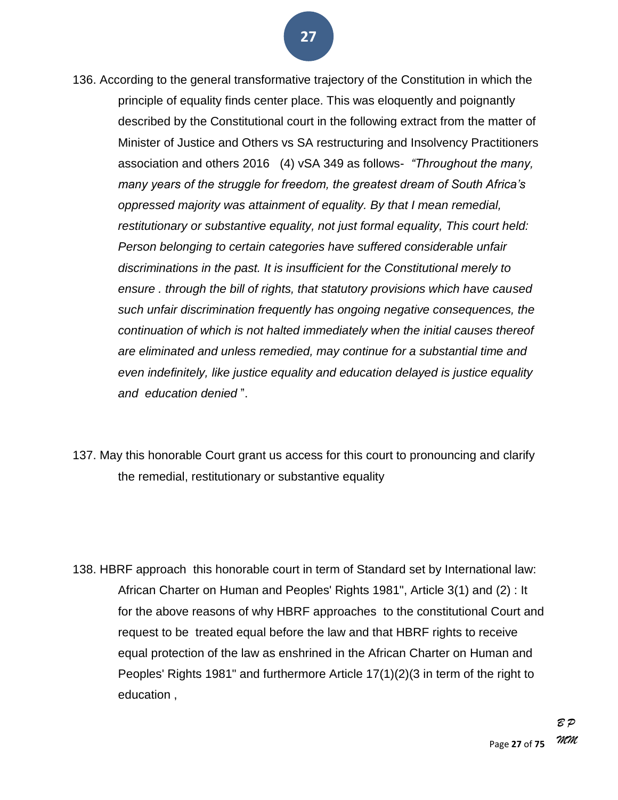- 136. According to the general transformative trajectory of the Constitution in which the principle of equality finds center place. This was eloquently and poignantly described by the Constitutional court in the following extract from the matter of Minister of Justice and Others vs SA restructuring and Insolvency Practitioners association and others 2016 (4) vSA 349 as follows- *"Throughout the many, many years of the struggle for freedom, the greatest dream of South Africa's oppressed majority was attainment of equality. By that I mean remedial, restitutionary or substantive equality, not just formal equality, This court held: Person belonging to certain categories have suffered considerable unfair discriminations in the past. It is insufficient for the Constitutional merely to ensure . through the bill of rights, that statutory provisions which have caused such unfair discrimination frequently has ongoing negative consequences, the continuation of which is not halted immediately when the initial causes thereof are eliminated and unless remedied, may continue for a substantial time and even indefinitely, like justice equality and education delayed is justice equality and education denied* ‖.
- 137. May this honorable Court grant us access for this court to pronouncing and clarify the remedial, restitutionary or substantive equality

138. HBRF approach this honorable court in term of Standard set by International law: African Charter on Human and Peoples' Rights 1981", Article 3(1) and (2) : It for the above reasons of why HBRF approaches to the constitutional Court and request to be treated equal before the law and that HBRF rights to receive equal protection of the law as enshrined in the African Charter on Human and Peoples' Rights 1981" and furthermore Article 17(1)(2)(3 in term of the right to education ,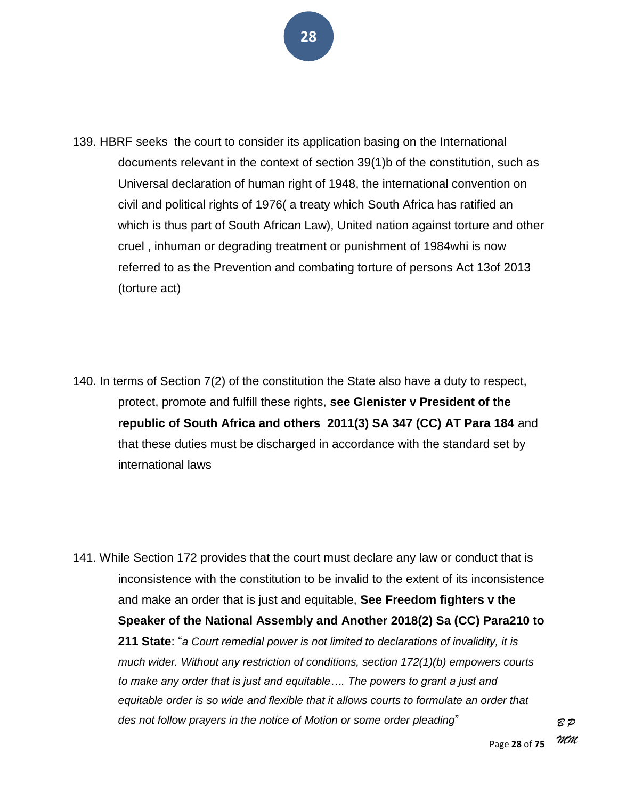- 139. HBRF seeks the court to consider its application basing on the International documents relevant in the context of section 39(1)b of the constitution, such as Universal declaration of human right of 1948, the international convention on civil and political rights of 1976( a treaty which South Africa has ratified an which is thus part of South African Law), United nation against torture and other cruel , inhuman or degrading treatment or punishment of 1984whi is now referred to as the Prevention and combating torture of persons Act 13of 2013 (torture act)
- 140. In terms of Section 7(2) of the constitution the State also have a duty to respect, protect, promote and fulfill these rights, **see Glenister v President of the republic of South Africa and others 2011(3) SA 347 (CC) AT Para 184** and that these duties must be discharged in accordance with the standard set by international laws

141. While Section 172 provides that the court must declare any law or conduct that is inconsistence with the constitution to be invalid to the extent of its inconsistence and make an order that is just and equitable, **See Freedom fighters v the Speaker of the National Assembly and Another 2018(2) Sa (CC) Para210 to 211 State**: ―*a Court remedial power is not limited to declarations of invalidity, it is much wider. Without any restriction of conditions, section 172(1)(b) empowers courts to make any order that is just and equitable…. The powers to grant a just and equitable order is so wide and flexible that it allows courts to formulate an order that des not follow prayers in the notice of Motion or some order pleading*‖

> Page **28** of **75** *MM*

*B P*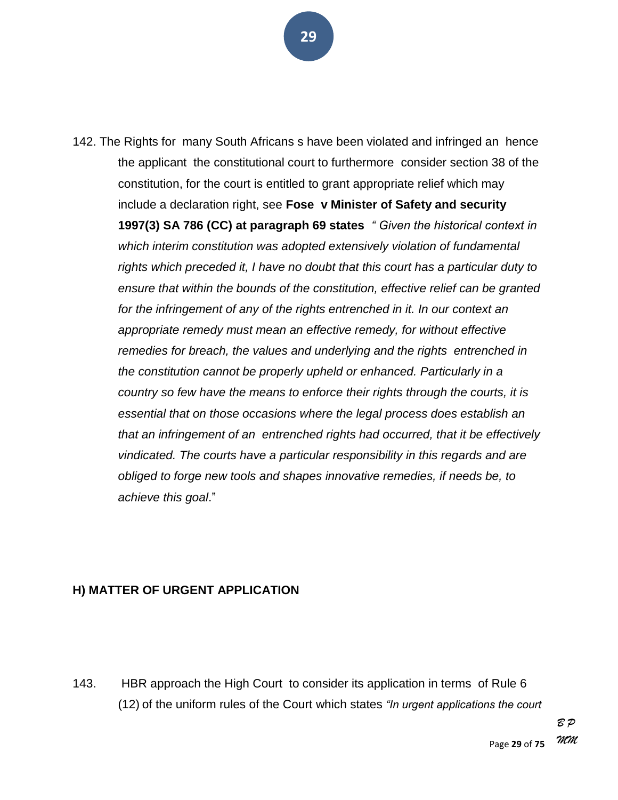142. The Rights for many South Africans s have been violated and infringed an hence the applicant the constitutional court to furthermore consider section 38 of the constitution, for the court is entitled to grant appropriate relief which may include a declaration right, see **Fose v Minister of Safety and security 1997(3) SA 786 (CC) at paragraph 69 states** " Given the historical context in *which interim constitution was adopted extensively violation of fundamental rights which preceded it, I have no doubt that this court has a particular duty to ensure that within the bounds of the constitution, effective relief can be granted for the infringement of any of the rights entrenched in it. In our context an appropriate remedy must mean an effective remedy, for without effective remedies for breach, the values and underlying and the rights entrenched in the constitution cannot be properly upheld or enhanced. Particularly in a country so few have the means to enforce their rights through the courts, it is essential that on those occasions where the legal process does establish an that an infringement of an entrenched rights had occurred, that it be effectively vindicated. The courts have a particular responsibility in this regards and are obliged to forge new tools and shapes innovative remedies, if needs be, to achieve this goal*.‖

#### **H) MATTER OF URGENT APPLICATION**

143. HBR approach the High Court to consider its application in terms of Rule 6 (12) of the uniform rules of the Court which states *"In urgent applications the court* 

> Page **29** of **75** *B P MM*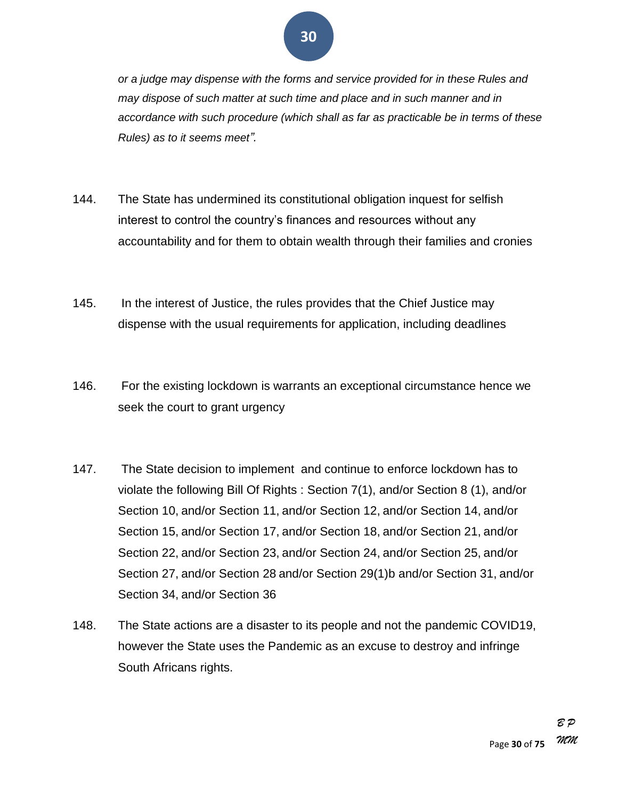*or a judge may dispense with the forms and service provided for in these Rules and may dispose of such matter at such time and place and in such manner and in accordance with such procedure (which shall as far as practicable be in terms of these Rules) as to it seems meet‖.*

- 144. The State has undermined its constitutional obligation inquest for selfish interest to control the country's finances and resources without any accountability and for them to obtain wealth through their families and cronies
- 145. In the interest of Justice, the rules provides that the Chief Justice may dispense with the usual requirements for application, including deadlines
- 146. For the existing lockdown is warrants an exceptional circumstance hence we seek the court to grant urgency
- 147. The State decision to implement and continue to enforce lockdown has to violate the following Bill Of Rights : Section 7(1), and/or Section 8 (1), and/or Section 10, and/or Section 11, and/or Section 12, and/or Section 14, and/or Section 15, and/or Section 17, and/or Section 18, and/or Section 21, and/or Section 22, and/or Section 23, and/or Section 24, and/or Section 25, and/or Section 27, and/or Section 28 and/or Section 29(1)b and/or Section 31, and/or Section 34, and/or Section 36
- 148. The State actions are a disaster to its people and not the pandemic COVID19, however the State uses the Pandemic as an excuse to destroy and infringe South Africans rights.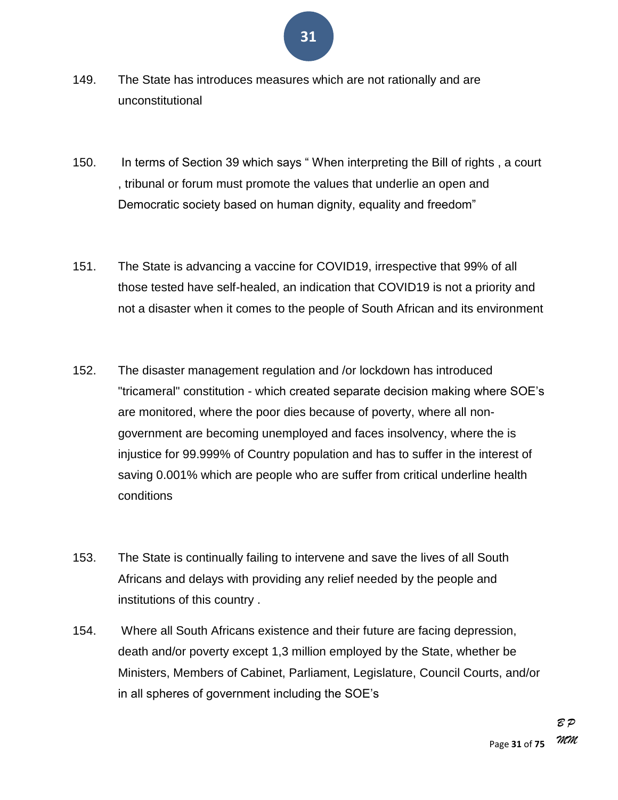- 149. The State has introduces measures which are not rationally and are unconstitutional
- 150. In terms of Section 39 which says "When interpreting the Bill of rights, a court , tribunal or forum must promote the values that underlie an open and Democratic society based on human dignity, equality and freedom"
- 151. The State is advancing a vaccine for COVID19, irrespective that 99% of all those tested have self-healed, an indication that COVID19 is not a priority and not a disaster when it comes to the people of South African and its environment
- 152. The disaster management regulation and /or lockdown has introduced "tricameral" constitution - which created separate decision making where SOE's are monitored, where the poor dies because of poverty, where all nongovernment are becoming unemployed and faces insolvency, where the is injustice for 99.999% of Country population and has to suffer in the interest of saving 0.001% which are people who are suffer from critical underline health conditions
- 153. The State is continually failing to intervene and save the lives of all South Africans and delays with providing any relief needed by the people and institutions of this country .
- 154. Where all South Africans existence and their future are facing depression, death and/or poverty except 1,3 million employed by the State, whether be Ministers, Members of Cabinet, Parliament, Legislature, Council Courts, and/or in all spheres of government including the SOE's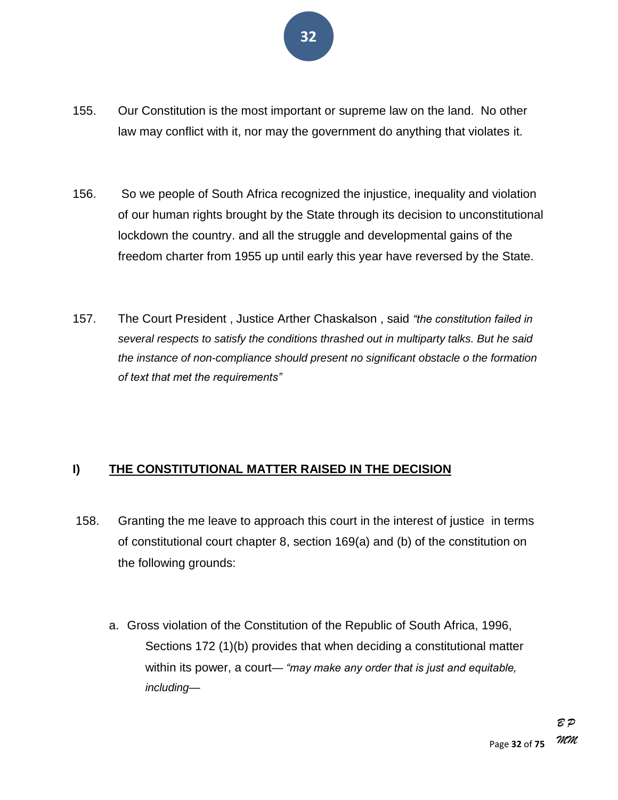- 155. Our Constitution is the most important or supreme law on the land. No other law may conflict with it, nor may the government do anything that violates it.
- 156. So we people of South Africa recognized the injustice, inequality and violation of our human rights brought by the State through its decision to unconstitutional lockdown the country. and all the struggle and developmental gains of the freedom charter from 1955 up until early this year have reversed by the State.
- 157. The Court President, Justice Arther Chaskalson, said "the constitution failed in *several respects to satisfy the conditions thrashed out in multiparty talks. But he said the instance of non-compliance should present no significant obstacle o the formation of text that met the requirements‖*

#### **I) THE CONSTITUTIONAL MATTER RAISED IN THE DECISION**

- 158. Granting the me leave to approach this court in the interest of justice in terms of constitutional court chapter 8, section 169(a) and (b) of the constitution on the following grounds:
	- a. Gross violation of the Constitution of the Republic of South Africa, 1996, Sections 172 (1)(b) provides that when deciding a constitutional matter within its power, a court— *"may make any order that is just and equitable, including—*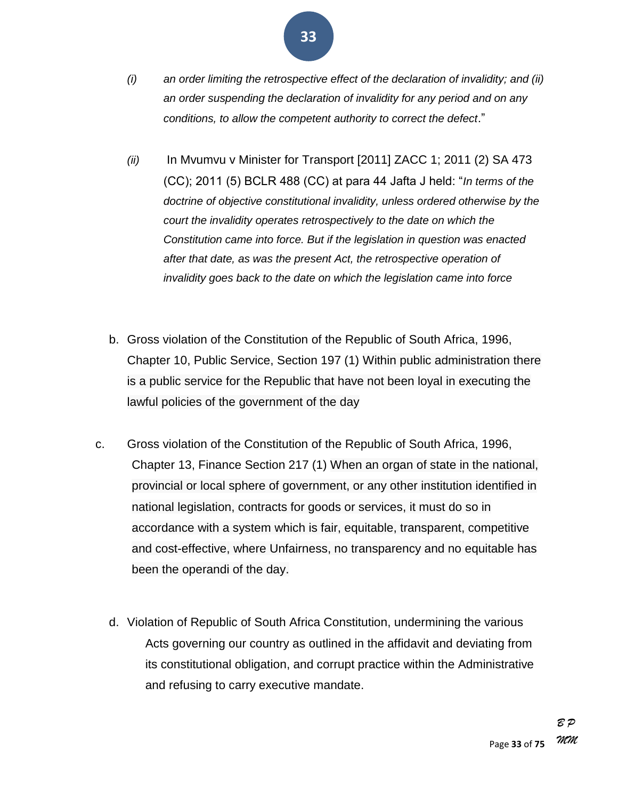- *(i) an order limiting the retrospective effect of the declaration of invalidity; and (ii) an order suspending the declaration of invalidity for any period and on any conditions, to allow the competent authority to correct the defect*.‖
- *(ii)* In Mvumvu v Minister for Transport [2011] ZACC 1; 2011 (2) SA 473 (CC); 2011 (5) BCLR 488 (CC) at para 44 Jafta J held: "*In terms of the doctrine of objective constitutional invalidity, unless ordered otherwise by the court the invalidity operates retrospectively to the date on which the Constitution came into force. But if the legislation in question was enacted after that date, as was the present Act, the retrospective operation of invalidity goes back to the date on which the legislation came into force*
- b. Gross violation of the Constitution of the Republic of South Africa, 1996, Chapter 10, Public Service, Section 197 (1) Within public administration there is a public service for the Republic that have not been loyal in executing the lawful policies of the government of the day
- c. Gross violation of the Constitution of the Republic of South Africa, 1996, Chapter 13, Finance Section 217 (1) When an organ of state in the national, provincial or local sphere of government, or any other institution identified in national legislation, contracts for goods or services, it must do so in accordance with a system which is fair, equitable, transparent, competitive and cost-effective, where Unfairness, no transparency and no equitable has been the operandi of the day.
	- d. Violation of Republic of South Africa Constitution, undermining the various Acts governing our country as outlined in the affidavit and deviating from its constitutional obligation, and corrupt practice within the Administrative and refusing to carry executive mandate.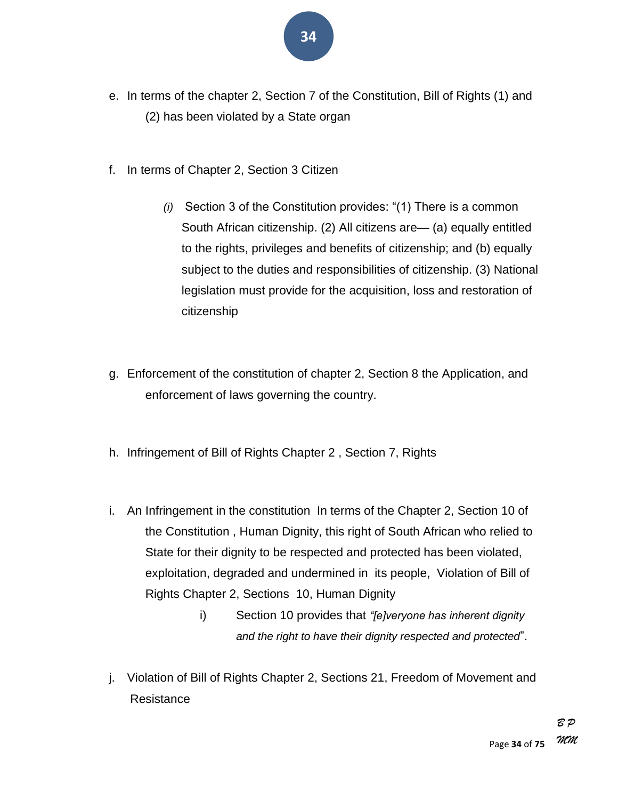- e. In terms of the chapter 2, Section 7 of the Constitution, Bill of Rights (1) and (2) has been violated by a State organ
- f. In terms of Chapter 2, Section 3 Citizen
	- *(i)* Section 3 of the Constitution provides: "(1) There is a common South African citizenship. (2) All citizens are— (a) equally entitled to the rights, privileges and benefits of citizenship; and (b) equally subject to the duties and responsibilities of citizenship. (3) National legislation must provide for the acquisition, loss and restoration of citizenship
- g. Enforcement of the constitution of chapter 2, Section 8 the Application, and enforcement of laws governing the country.
- h. Infringement of Bill of Rights Chapter 2 , Section 7, Rights
- i. An Infringement in the constitution In terms of the Chapter 2, Section 10 of the Constitution , Human Dignity, this right of South African who relied to State for their dignity to be respected and protected has been violated, exploitation, degraded and undermined in its people, Violation of Bill of Rights Chapter 2, Sections 10, Human Dignity
	- i) Section 10 provides that *"fe]veryone has inherent dignity and the right to have their dignity respected and protected*‖.
- j. Violation of Bill of Rights Chapter 2, Sections 21, Freedom of Movement and Resistance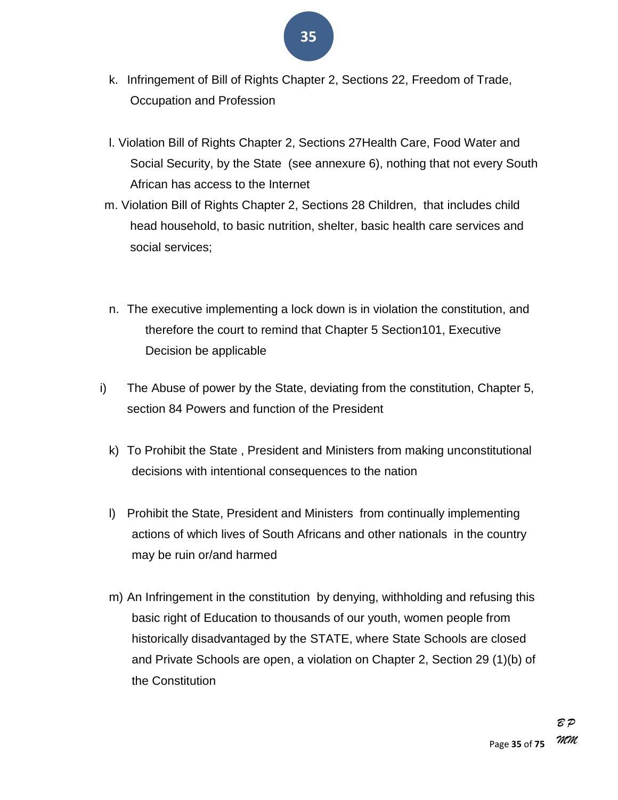- **35**
- k. Infringement of Bill of Rights Chapter 2, Sections 22, Freedom of Trade, Occupation and Profession
- l. Violation Bill of Rights Chapter 2, Sections 27Health Care, Food Water and Social Security, by the State (see annexure 6), nothing that not every South African has access to the Internet
- m. Violation Bill of Rights Chapter 2, Sections 28 Children, that includes child head household, to basic nutrition, shelter, basic health care services and social services;
- n. The executive implementing a lock down is in violation the constitution, and therefore the court to remind that Chapter 5 Section101, Executive Decision be applicable
- i) The Abuse of power by the State, deviating from the constitution, Chapter 5, section 84 Powers and function of the President
	- k) To Prohibit the State , President and Ministers from making unconstitutional decisions with intentional consequences to the nation
	- l) Prohibit the State, President and Ministers from continually implementing actions of which lives of South Africans and other nationals in the country may be ruin or/and harmed
	- m) An Infringement in the constitution by denying, withholding and refusing this basic right of Education to thousands of our youth, women people from historically disadvantaged by the STATE, where State Schools are closed and Private Schools are open, a violation on Chapter 2, Section 29 (1)(b) of the Constitution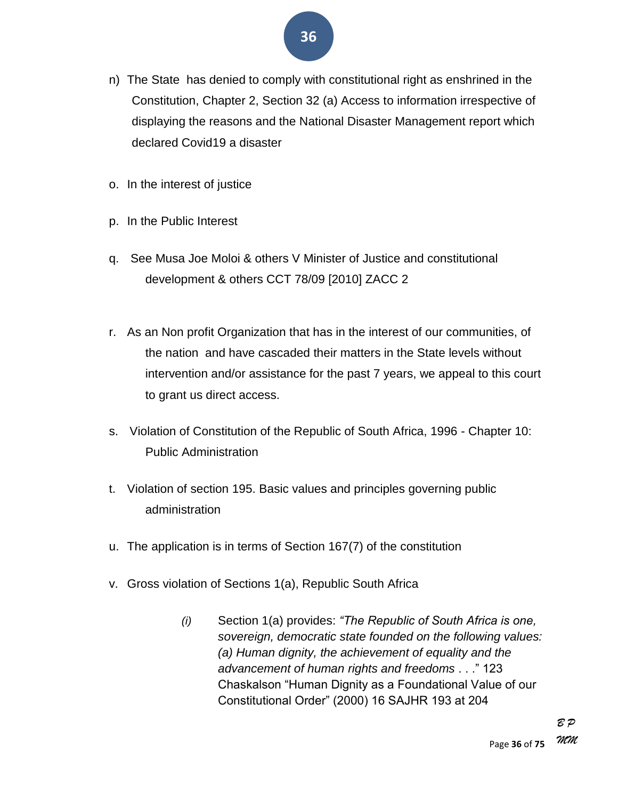- n) The State has denied to comply with constitutional right as enshrined in the Constitution, Chapter 2, Section 32 (a) Access to information irrespective of displaying the reasons and the National Disaster Management report which declared Covid19 a disaster
- o. In the interest of justice
- p. In the Public Interest
- q. See Musa Joe Moloi & others V Minister of Justice and constitutional development & others CCT 78/09 [2010] ZACC 2
- r. As an Non profit Organization that has in the interest of our communities, of the nation and have cascaded their matters in the State levels without intervention and/or assistance for the past 7 years, we appeal to this court to grant us direct access.
- s. Violation of Constitution of the Republic of South Africa, 1996 Chapter 10: Public Administration
- t. Violation of section 195. Basic values and principles governing public administration
- u. The application is in terms of Section 167(7) of the constitution
- v. Gross violation of Sections 1(a), Republic South Africa
	- *(i)* Section 1(a) provides: *―The Republic of South Africa is one, sovereign, democratic state founded on the following values: (a) Human dignity, the achievement of equality and the advancement of human rights and freedoms* . . .‖ 123 Chaskalson "Human Dignity as a Foundational Value of our Constitutional Order‖ (2000) 16 SAJHR 193 at 204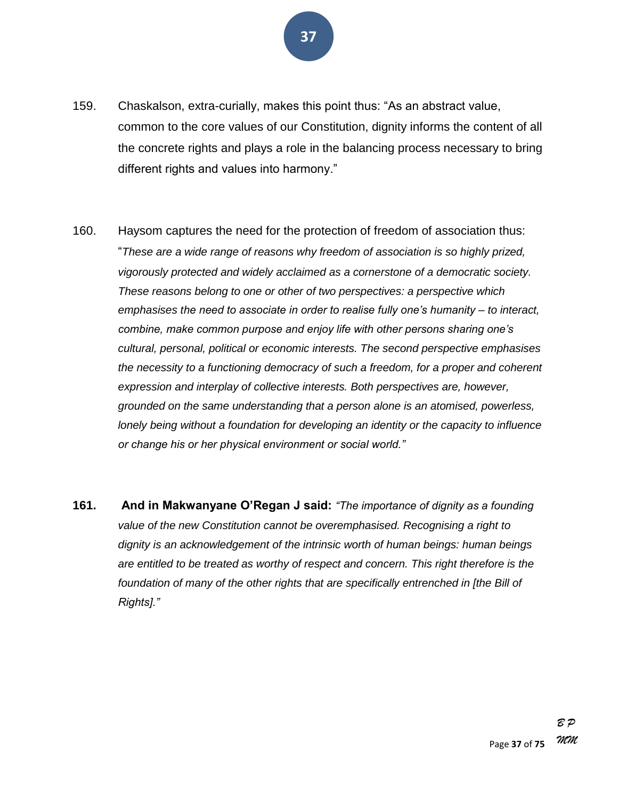

- 159. Chaskalson, extra-curially, makes this point thus: "As an abstract value, common to the core values of our Constitution, dignity informs the content of all the concrete rights and plays a role in the balancing process necessary to bring different rights and values into harmony."
- 160. Haysom captures the need for the protection of freedom of association thus: ―*These are a wide range of reasons why freedom of association is so highly prized, vigorously protected and widely acclaimed as a cornerstone of a democratic society. These reasons belong to one or other of two perspectives: a perspective which emphasises the need to associate in order to realise fully one's humanity – to interact, combine, make common purpose and enjoy life with other persons sharing one's cultural, personal, political or economic interests. The second perspective emphasises the necessity to a functioning democracy of such a freedom, for a proper and coherent expression and interplay of collective interests. Both perspectives are, however, grounded on the same understanding that a person alone is an atomised, powerless, lonely being without a foundation for developing an identity or the capacity to influence or change his or her physical environment or social world.‖*
- **161.** And in Makwanyane O'Regan J said: "The importance of dignity as a founding *value of the new Constitution cannot be overemphasised. Recognising a right to dignity is an acknowledgement of the intrinsic worth of human beings: human beings are entitled to be treated as worthy of respect and concern. This right therefore is the*  foundation of many of the other rights that are specifically entrenched in [the Bill of *Rights].‖*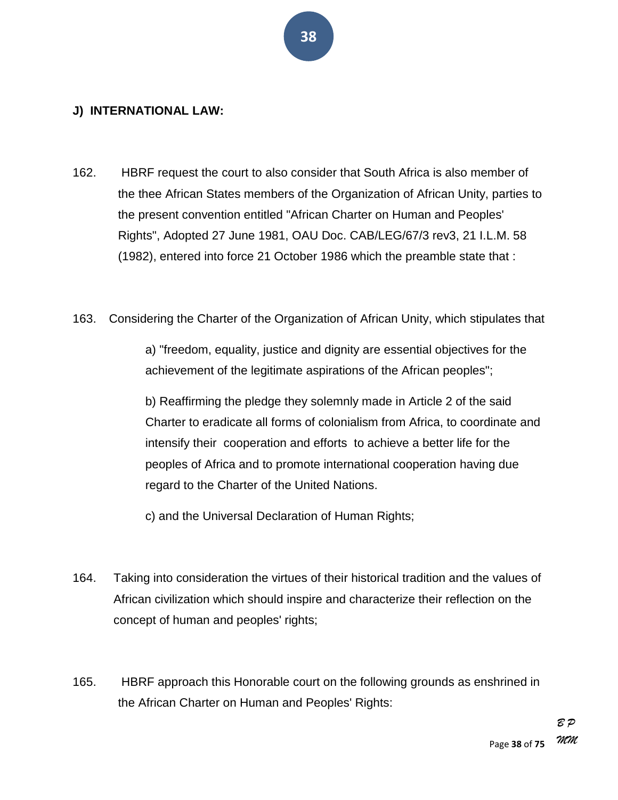#### **J) INTERNATIONAL LAW:**

- 162. HBRF request the court to also consider that South Africa is also member of the thee African States members of the Organization of African Unity, parties to the present convention entitled "African Charter on Human and Peoples' Rights", Adopted 27 June 1981, OAU Doc. CAB/LEG/67/3 rev3, 21 I.L.M. 58 (1982), entered into force 21 October 1986 which the preamble state that :
- 163. Considering the Charter of the Organization of African Unity, which stipulates that

a) "freedom, equality, justice and dignity are essential objectives for the achievement of the legitimate aspirations of the African peoples";

b) Reaffirming the pledge they solemnly made in Article 2 of the said Charter to eradicate all forms of colonialism from Africa, to coordinate and intensify their cooperation and efforts to achieve a better life for the peoples of Africa and to promote international cooperation having due regard to the Charter of the United Nations.

c) and the Universal Declaration of Human Rights;

- 164. Taking into consideration the virtues of their historical tradition and the values of African civilization which should inspire and characterize their reflection on the concept of human and peoples' rights;
- 165. HBRF approach this Honorable court on the following grounds as enshrined in the African Charter on Human and Peoples' Rights: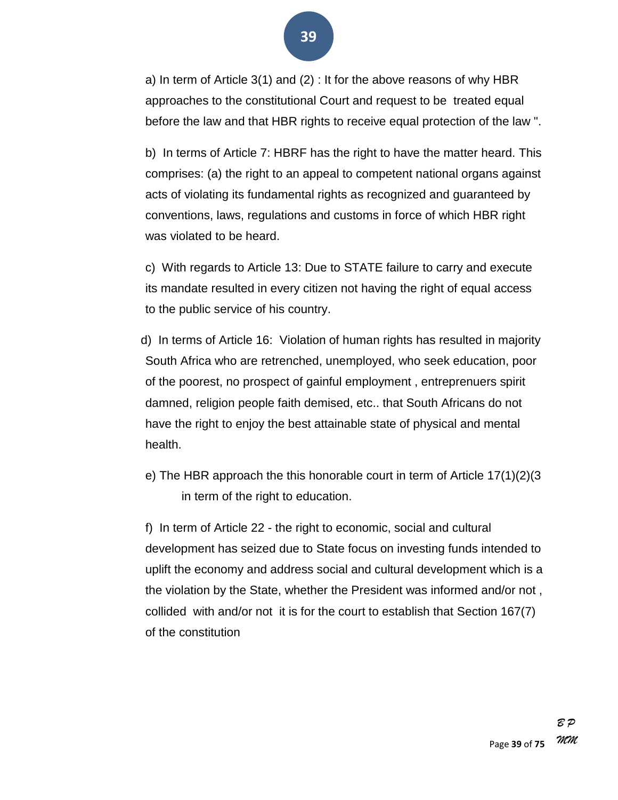a) In term of Article 3(1) and (2) : It for the above reasons of why HBR approaches to the constitutional Court and request to be treated equal before the law and that HBR rights to receive equal protection of the law ".

b) In terms of Article 7: HBRF has the right to have the matter heard. This comprises: (a) the right to an appeal to competent national organs against acts of violating its fundamental rights as recognized and guaranteed by conventions, laws, regulations and customs in force of which HBR right was violated to be heard.

c) With regards to Article 13: Due to STATE failure to carry and execute its mandate resulted in every citizen not having the right of equal access to the public service of his country.

d) In terms of Article 16: Violation of human rights has resulted in majority South Africa who are retrenched, unemployed, who seek education, poor of the poorest, no prospect of gainful employment , entreprenuers spirit damned, religion people faith demised, etc.. that South Africans do not have the right to enjoy the best attainable state of physical and mental health.

e) The HBR approach the this honorable court in term of Article 17(1)(2)(3 in term of the right to education.

f) In term of Article 22 - the right to economic, social and cultural development has seized due to State focus on investing funds intended to uplift the economy and address social and cultural development which is a the violation by the State, whether the President was informed and/or not , collided with and/or not it is for the court to establish that Section 167(7) of the constitution

**39**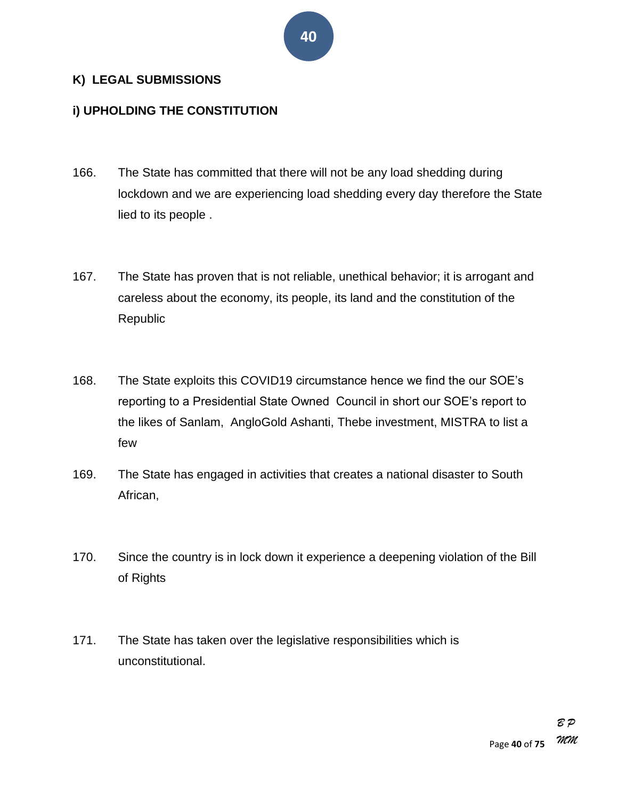#### **K) LEGAL SUBMISSIONS**

#### **i) UPHOLDING THE CONSTITUTION**

- 166. The State has committed that there will not be any load shedding during lockdown and we are experiencing load shedding every day therefore the State lied to its people .
- 167. The State has proven that is not reliable, unethical behavior; it is arrogant and careless about the economy, its people, its land and the constitution of the Republic
- 168. The State exploits this COVID19 circumstance hence we find the our SOE's reporting to a Presidential State Owned Council in short our SOE's report to the likes of Sanlam, AngloGold Ashanti, Thebe investment, MISTRA to list a few
- 169. The State has engaged in activities that creates a national disaster to South African,
- 170. Since the country is in lock down it experience a deepening violation of the Bill of Rights
- 171. The State has taken over the legislative responsibilities which is unconstitutional.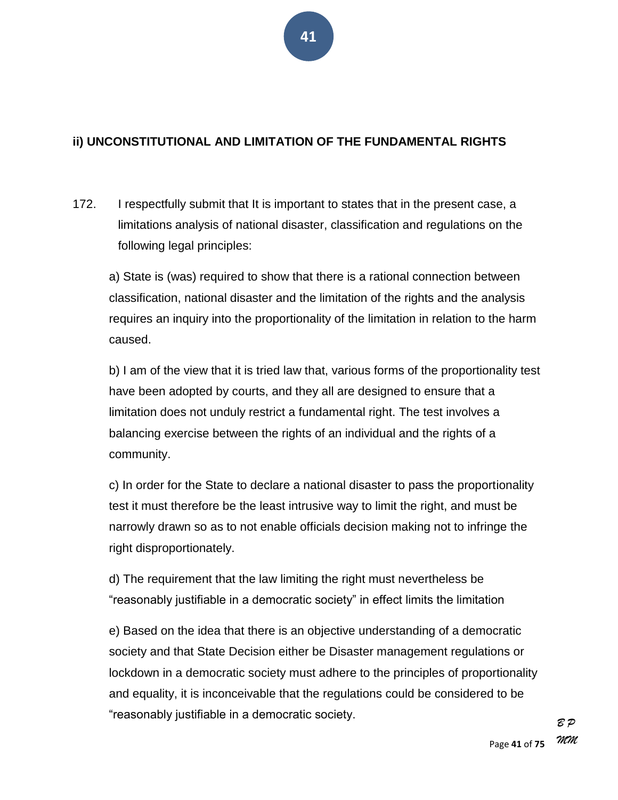#### **ii) UNCONSTITUTIONAL AND LIMITATION OF THE FUNDAMENTAL RIGHTS**

172. I respectfully submit that It is important to states that in the present case, a limitations analysis of national disaster, classification and regulations on the following legal principles:

a) State is (was) required to show that there is a rational connection between classification, national disaster and the limitation of the rights and the analysis requires an inquiry into the proportionality of the limitation in relation to the harm caused.

b) I am of the view that it is tried law that, various forms of the proportionality test have been adopted by courts, and they all are designed to ensure that a limitation does not unduly restrict a fundamental right. The test involves a balancing exercise between the rights of an individual and the rights of a community.

c) In order for the State to declare a national disaster to pass the proportionality test it must therefore be the least intrusive way to limit the right, and must be narrowly drawn so as to not enable officials decision making not to infringe the right disproportionately.

d) The requirement that the law limiting the right must nevertheless be ―reasonably justifiable in a democratic society‖ in effect limits the limitation

e) Based on the idea that there is an objective understanding of a democratic society and that State Decision either be Disaster management regulations or lockdown in a democratic society must adhere to the principles of proportionality and equality, it is inconceivable that the regulations could be considered to be ―reasonably justifiable in a democratic society.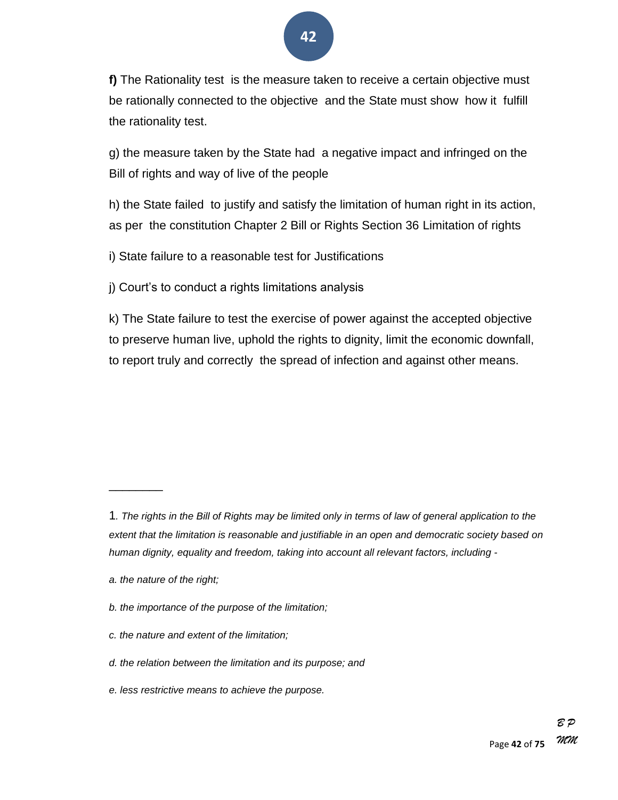**f)** The Rationality test is the measure taken to receive a certain objective must be rationally connected to the objective and the State must show how it fulfill the rationality test.

g) the measure taken by the State had a negative impact and infringed on the Bill of rights and way of live of the people

h) the State failed to justify and satisfy the limitation of human right in its action, as per the constitution Chapter 2 Bill or Rights Section 36 Limitation of rights

i) State failure to a reasonable test for Justifications

j) Court's to conduct a rights limitations analysis

k) The State failure to test the exercise of power against the accepted objective to preserve human live, uphold the rights to dignity, limit the economic downfall, to report truly and correctly the spread of infection and against other means.

 $\overline{\phantom{a}}$ 

<sup>1</sup>*. The rights in the Bill of Rights may be limited only in terms of law of general application to the extent that the limitation is reasonable and justifiable in an open and democratic society based on human dignity, equality and freedom, taking into account all relevant factors, including -*

*a. the nature of the right;*

*b. the importance of the purpose of the limitation;*

*c. the nature and extent of the limitation;*

*d. the relation between the limitation and its purpose; and*

*e. less restrictive means to achieve the purpose.*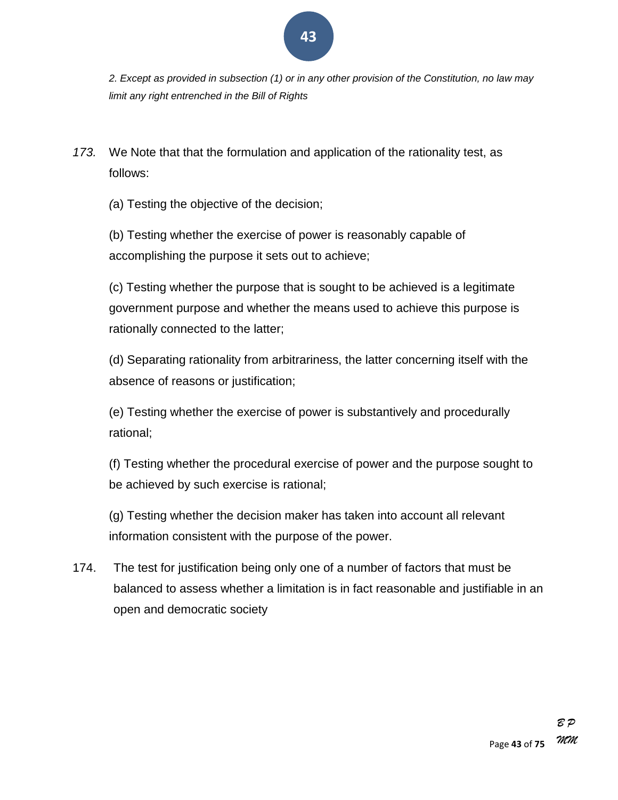

*2. Except as provided in subsection (1) or in any other provision of the Constitution, no law may limit any right entrenched in the Bill of Rights*

*173.* We Note that that the formulation and application of the rationality test, as follows:

*(*a) Testing the objective of the decision;

(b) Testing whether the exercise of power is reasonably capable of accomplishing the purpose it sets out to achieve;

(c) Testing whether the purpose that is sought to be achieved is a legitimate government purpose and whether the means used to achieve this purpose is rationally connected to the latter;

(d) Separating rationality from arbitrariness, the latter concerning itself with the absence of reasons or justification;

(e) Testing whether the exercise of power is substantively and procedurally rational;

(f) Testing whether the procedural exercise of power and the purpose sought to be achieved by such exercise is rational;

(g) Testing whether the decision maker has taken into account all relevant information consistent with the purpose of the power.

174. The test for justification being only one of a number of factors that must be balanced to assess whether a limitation is in fact reasonable and justifiable in an open and democratic society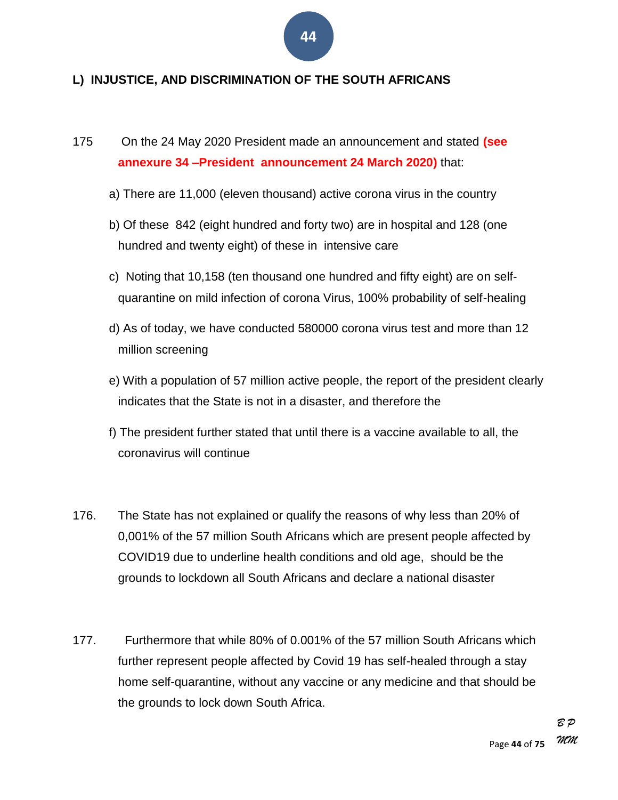#### **L) INJUSTICE, AND DISCRIMINATION OF THE SOUTH AFRICANS**

- 175 On the 24 May 2020 President made an announcement and stated **(see annexure 34 –President announcement 24 March 2020)** that:
	- a) There are 11,000 (eleven thousand) active corona virus in the country
	- b) Of these 842 (eight hundred and forty two) are in hospital and 128 (one hundred and twenty eight) of these in intensive care
	- c) Noting that 10,158 (ten thousand one hundred and fifty eight) are on selfquarantine on mild infection of corona Virus, 100% probability of self-healing
	- d) As of today, we have conducted 580000 corona virus test and more than 12 million screening
	- e) With a population of 57 million active people, the report of the president clearly indicates that the State is not in a disaster, and therefore the
	- f) The president further stated that until there is a vaccine available to all, the coronavirus will continue
- 176. The State has not explained or qualify the reasons of why less than 20% of 0,001% of the 57 million South Africans which are present people affected by COVID19 due to underline health conditions and old age, should be the grounds to lockdown all South Africans and declare a national disaster
- 177. Furthermore that while 80% of 0.001% of the 57 million South Africans which further represent people affected by Covid 19 has self-healed through a stay home self-quarantine, without any vaccine or any medicine and that should be the grounds to lock down South Africa.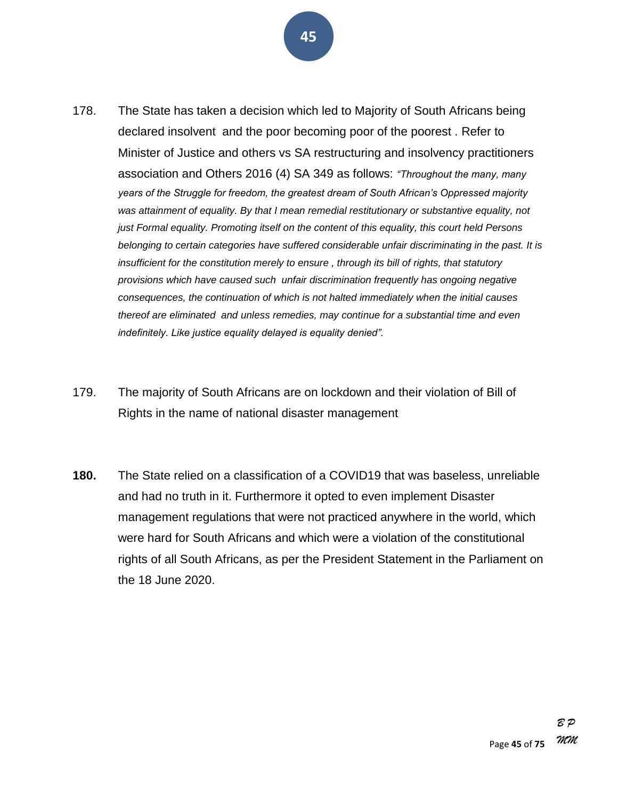- 178. The State has taken a decision which led to Majority of South Africans being declared insolvent and the poor becoming poor of the poorest . Refer to Minister of Justice and others vs SA restructuring and insolvency practitioners association and Others 2016 (4) SA 349 as follows: "Throughout the many, many *years of the Struggle for freedom, the greatest dream of South African's Oppressed majority was attainment of equality. By that I mean remedial restitutionary or substantive equality, not just Formal equality. Promoting itself on the content of this equality, this court held Persons belonging to certain categories have suffered considerable unfair discriminating in the past. It is insufficient for the constitution merely to ensure , through its bill of rights, that statutory* 
	- *provisions which have caused such unfair discrimination frequently has ongoing negative consequences, the continuation of which is not halted immediately when the initial causes thereof are eliminated and unless remedies, may continue for a substantial time and even indefinitely. Like justice equality delayed is equality denied‖.*
- 179. The majority of South Africans are on lockdown and their violation of Bill of Rights in the name of national disaster management
- **180.** The State relied on a classification of a COVID19 that was baseless, unreliable and had no truth in it. Furthermore it opted to even implement Disaster management regulations that were not practiced anywhere in the world, which were hard for South Africans and which were a violation of the constitutional rights of all South Africans, as per the President Statement in the Parliament on the 18 June 2020.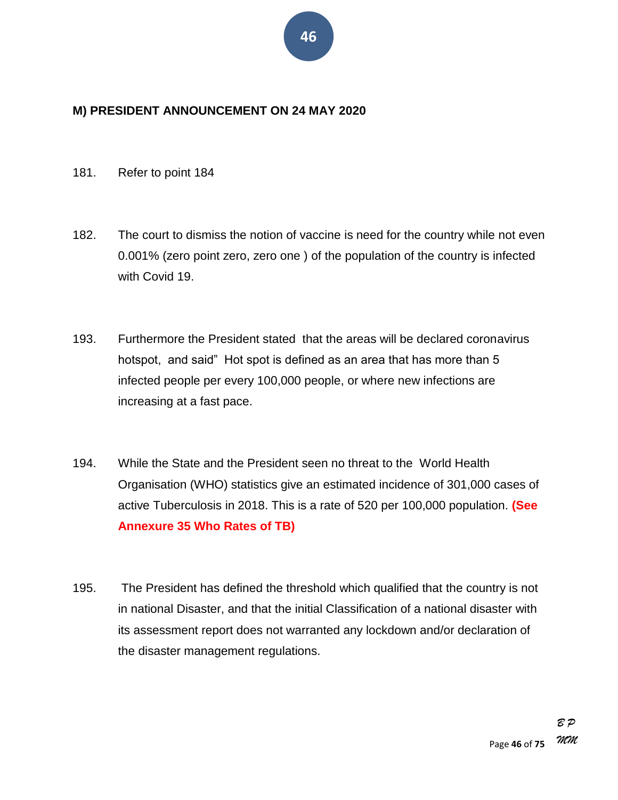#### **M) PRESIDENT ANNOUNCEMENT ON 24 MAY 2020**

#### 181. Refer to point 184

- 182. The court to dismiss the notion of vaccine is need for the country while not even 0.001% (zero point zero, zero one ) of the population of the country is infected with Covid 19.
- 193. Furthermore the President stated that the areas will be declared coronavirus hotspot, and said" Hot spot is defined as an area that has more than 5 infected people per every 100,000 people, or where new infections are increasing at a fast pace.
- 194. While the State and the President seen no threat to the World Health Organisation (WHO) statistics give an estimated incidence of 301,000 cases of active Tuberculosis in 2018. This is a rate of 520 per 100,000 population. **(See Annexure 35 Who Rates of TB)**
- 195. The President has defined the threshold which qualified that the country is not in national Disaster, and that the initial Classification of a national disaster with its assessment report does not warranted any lockdown and/or declaration of the disaster management regulations.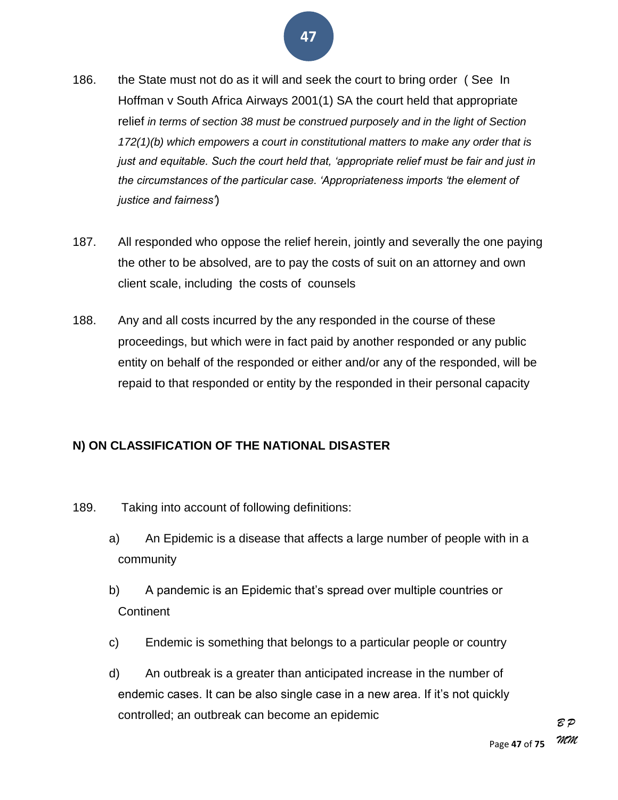- 186. the State must not do as it will and seek the court to bring order (See In Hoffman v South Africa Airways 2001(1) SA the court held that appropriate relief *in terms of section 38 must be construed purposely and in the light of Section 172(1)(b) which empowers a court in constitutional matters to make any order that is just and equitable. Such the court held that, ‗appropriate relief must be fair and just in the circumstances of the particular case. ‗Appropriateness imports ‗the element of justice and fairness'*)
- 187. All responded who oppose the relief herein, jointly and severally the one paying the other to be absolved, are to pay the costs of suit on an attorney and own client scale, including the costs of counsels
- 188. Any and all costs incurred by the any responded in the course of these proceedings, but which were in fact paid by another responded or any public entity on behalf of the responded or either and/or any of the responded, will be repaid to that responded or entity by the responded in their personal capacity

#### **N) ON CLASSIFICATION OF THE NATIONAL DISASTER**

- 189. Taking into account of following definitions:
	- a) An Epidemic is a disease that affects a large number of people with in a community
	- b) A pandemic is an Epidemic that's spread over multiple countries or **Continent**
	- c) Endemic is something that belongs to a particular people or country
	- d) An outbreak is a greater than anticipated increase in the number of endemic cases. It can be also single case in a new area. If it's not quickly controlled; an outbreak can become an epidemic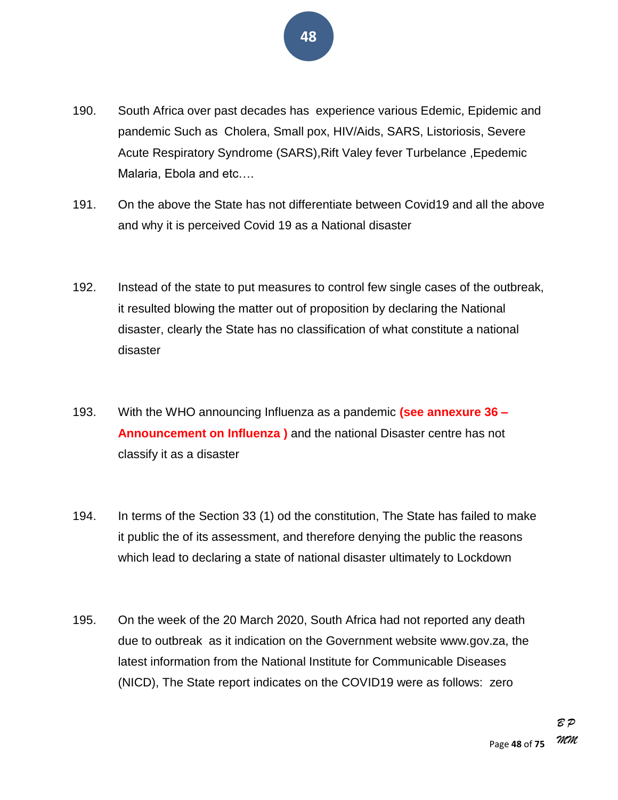- 190. South Africa over past decades has experience various Edemic, Epidemic and pandemic Such as Cholera, Small pox, HIV/Aids, SARS, Listoriosis, Severe Acute Respiratory Syndrome (SARS),Rift Valey fever Turbelance ,Epedemic Malaria, Ebola and etc….
- 191. On the above the State has not differentiate between Covid19 and all the above and why it is perceived Covid 19 as a National disaster
- 192. Instead of the state to put measures to control few single cases of the outbreak, it resulted blowing the matter out of proposition by declaring the National disaster, clearly the State has no classification of what constitute a national disaster
- 193. With the WHO announcing Influenza as a pandemic **(see annexure 36 – Announcement on Influenza )** and the national Disaster centre has not classify it as a disaster
- 194. In terms of the Section 33 (1) od the constitution, The State has failed to make it public the of its assessment, and therefore denying the public the reasons which lead to declaring a state of national disaster ultimately to Lockdown
- 195. On the week of the 20 March 2020, South Africa had not reported any death due to outbreak as it indication on the Government website www.gov.za, the latest information from the National Institute for Communicable Diseases (NICD), The State report indicates on the COVID19 were as follows: zero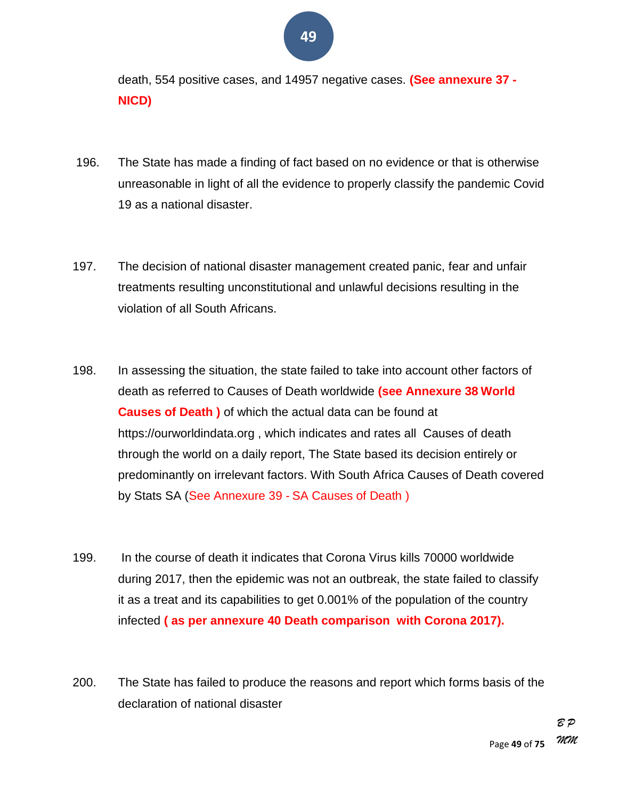death, 554 positive cases, and 14957 negative cases. **(See annexure 37 - NICD)**

- 196. The State has made a finding of fact based on no evidence or that is otherwise unreasonable in light of all the evidence to properly classify the pandemic Covid 19 as a national disaster.
- 197. The decision of national disaster management created panic, fear and unfair treatments resulting unconstitutional and unlawful decisions resulting in the violation of all South Africans.
- 198. In assessing the situation, the state failed to take into account other factors of death as referred to Causes of Death worldwide **(see Annexure 38 World Causes of Death )** of which the actual data can be found at https://ourworldindata.org , which indicates and rates all Causes of death through the world on a daily report, The State based its decision entirely or predominantly on irrelevant factors. With South Africa Causes of Death covered by Stats SA (See Annexure 39 - SA Causes of Death )
- 199. In the course of death it indicates that Corona Virus kills 70000 worldwide during 2017, then the epidemic was not an outbreak, the state failed to classify it as a treat and its capabilities to get 0.001% of the population of the country infected **( as per annexure 40 Death comparison with Corona 2017).**
- 200. The State has failed to produce the reasons and report which forms basis of the declaration of national disaster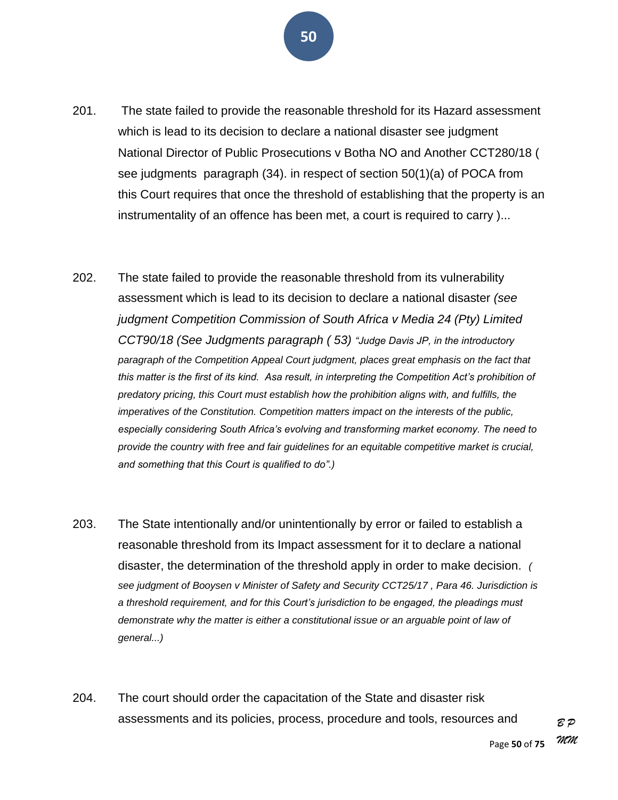

- 201. The state failed to provide the reasonable threshold for its Hazard assessment which is lead to its decision to declare a national disaster see judgment National Director of Public Prosecutions v Botha NO and Another CCT280/18 ( see judgments paragraph (34). in respect of section 50(1)(a) of POCA from this Court requires that once the threshold of establishing that the property is an instrumentality of an offence has been met, a court is required to carry )...
- 202. The state failed to provide the reasonable threshold from its vulnerability assessment which is lead to its decision to declare a national disaster *(see judgment Competition Commission of South Africa v Media 24 (Pty) Limited CCT90/18 (See Judgments paragraph ( 53) ―Judge Davis JP, in the introductory paragraph of the Competition Appeal Court judgment, places great emphasis on the fact that this matter is the first of its kind. Asa result, in interpreting the Competition Act's prohibition of predatory pricing, this Court must establish how the prohibition aligns with, and fulfills, the imperatives of the Constitution. Competition matters impact on the interests of the public, especially considering South Africa's evolving and transforming market economy. The need to provide the country with free and fair guidelines for an equitable competitive market is crucial, and something that this Court is qualified to do‖.)*
- 203. The State intentionally and/or unintentionally by error or failed to establish a reasonable threshold from its Impact assessment for it to declare a national disaster, the determination of the threshold apply in order to make decision. *( see judgment of Booysen v Minister of Safety and Security CCT25/17 , Para 46. Jurisdiction is a threshold requirement, and for this Court's jurisdiction to be engaged, the pleadings must*  demonstrate why the matter is either a constitutional issue or an arguable point of law of *general...)*
- 204. The court should order the capacitation of the State and disaster risk assessments and its policies, process, procedure and tools, resources and

*B P*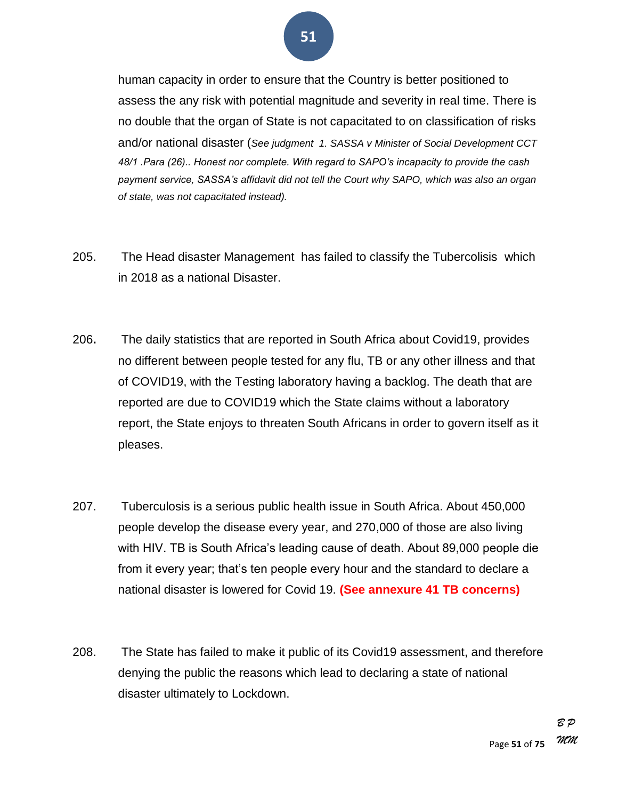human capacity in order to ensure that the Country is better positioned to assess the any risk with potential magnitude and severity in real time. There is no double that the organ of State is not capacitated to on classification of risks and/or national disaster (*See judgment 1. SASSA v Minister of Social Development CCT 48/1 .Para (26).. Honest nor complete. With regard to SAPO's incapacity to provide the cash payment service, SASSA's affidavit did not tell the Court why SAPO, which was also an organ of state, was not capacitated instead).*

- 205. The Head disaster Management has failed to classify the Tubercolisis which in 2018 as a national Disaster.
- 206**.** The daily statistics that are reported in South Africa about Covid19, provides no different between people tested for any flu, TB or any other illness and that of COVID19, with the Testing laboratory having a backlog. The death that are reported are due to COVID19 which the State claims without a laboratory report, the State enjoys to threaten South Africans in order to govern itself as it pleases.
- 207. Tuberculosis is a serious public health issue in South Africa. About 450,000 people develop the disease every year, and 270,000 of those are also living with HIV. TB is South Africa's leading cause of death. About 89,000 people die from it every year; that's ten people every hour and the standard to declare a national disaster is lowered for Covid 19. **(See annexure 41 TB concerns)**
- 208. The State has failed to make it public of its Covid19 assessment, and therefore denying the public the reasons which lead to declaring a state of national disaster ultimately to Lockdown.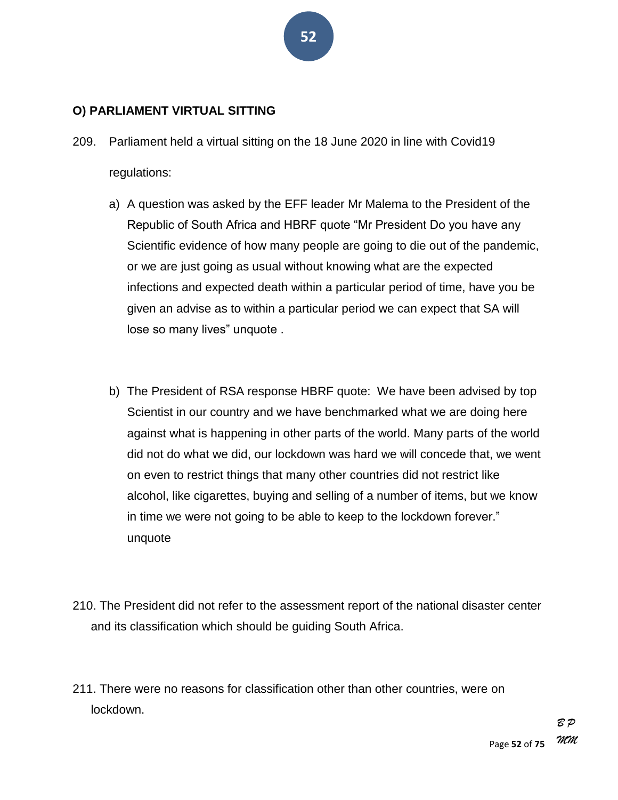#### **O) PARLIAMENT VIRTUAL SITTING**

- 209. Parliament held a virtual sitting on the 18 June 2020 in line with Covid19 regulations:
	- a) A question was asked by the EFF leader Mr Malema to the President of the Republic of South Africa and HBRF quote "Mr President Do you have any Scientific evidence of how many people are going to die out of the pandemic, or we are just going as usual without knowing what are the expected infections and expected death within a particular period of time, have you be given an advise as to within a particular period we can expect that SA will lose so many lives" unquote.
	- b) The President of RSA response HBRF quote: We have been advised by top Scientist in our country and we have benchmarked what we are doing here against what is happening in other parts of the world. Many parts of the world did not do what we did, our lockdown was hard we will concede that, we went on even to restrict things that many other countries did not restrict like alcohol, like cigarettes, buying and selling of a number of items, but we know in time we were not going to be able to keep to the lockdown forever." unquote
- 210. The President did not refer to the assessment report of the national disaster center and its classification which should be guiding South Africa.
- 211. There were no reasons for classification other than other countries, were on lockdown.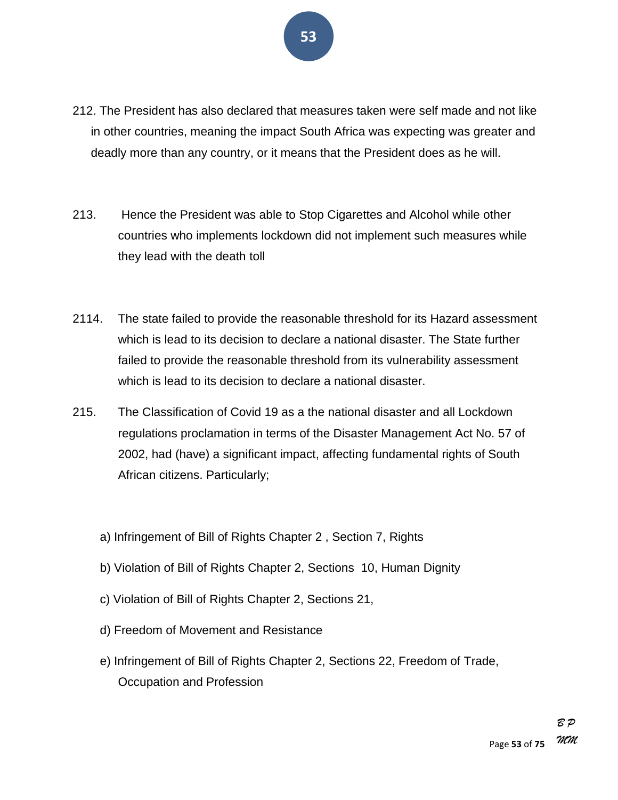- 212. The President has also declared that measures taken were self made and not like in other countries, meaning the impact South Africa was expecting was greater and deadly more than any country, or it means that the President does as he will.
- 213. Hence the President was able to Stop Cigarettes and Alcohol while other countries who implements lockdown did not implement such measures while they lead with the death toll
- 2114. The state failed to provide the reasonable threshold for its Hazard assessment which is lead to its decision to declare a national disaster. The State further failed to provide the reasonable threshold from its vulnerability assessment which is lead to its decision to declare a national disaster.
- 215. The Classification of Covid 19 as a the national disaster and all Lockdown regulations proclamation in terms of the Disaster Management Act No. 57 of 2002, had (have) a significant impact, affecting fundamental rights of South African citizens. Particularly;
	- a) Infringement of Bill of Rights Chapter 2 , Section 7, Rights
	- b) Violation of Bill of Rights Chapter 2, Sections 10, Human Dignity
	- c) Violation of Bill of Rights Chapter 2, Sections 21,
	- d) Freedom of Movement and Resistance
	- e) Infringement of Bill of Rights Chapter 2, Sections 22, Freedom of Trade, Occupation and Profession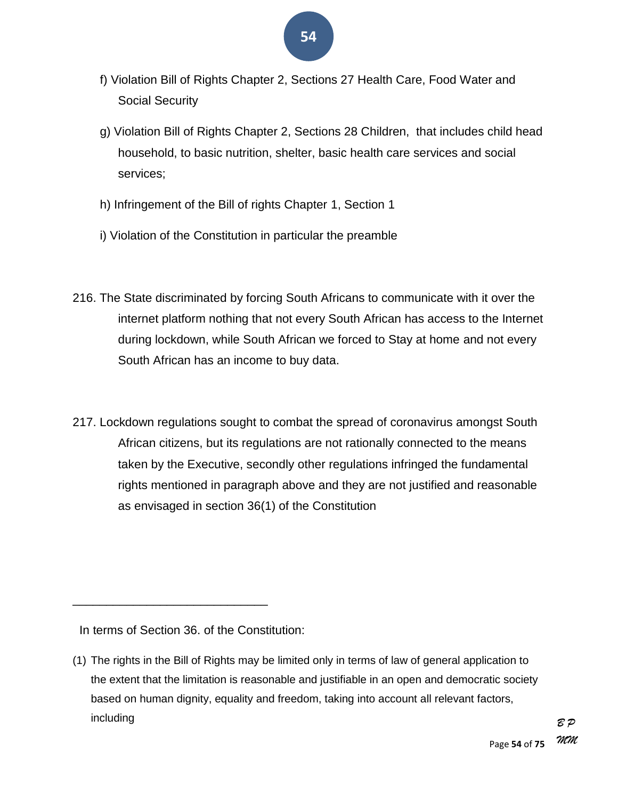- **54**
- f) Violation Bill of Rights Chapter 2, Sections 27 Health Care, Food Water and Social Security
- g) Violation Bill of Rights Chapter 2, Sections 28 Children, that includes child head household, to basic nutrition, shelter, basic health care services and social services;
- h) Infringement of the Bill of rights Chapter 1, Section 1
- i) Violation of the Constitution in particular the preamble
- 216. The State discriminated by forcing South Africans to communicate with it over the internet platform nothing that not every South African has access to the Internet during lockdown, while South African we forced to Stay at home and not every South African has an income to buy data.
- 217. Lockdown regulations sought to combat the spread of coronavirus amongst South African citizens, but its regulations are not rationally connected to the means taken by the Executive, secondly other regulations infringed the fundamental rights mentioned in paragraph above and they are not justified and reasonable as envisaged in section 36(1) of the Constitution

In terms of Section 36. of the Constitution:

\_\_\_\_\_\_\_\_\_\_\_\_\_\_\_\_\_\_\_\_\_\_\_\_\_\_\_\_\_

<sup>(1)</sup> The rights in the Bill of Rights may be limited only in terms of law of general application to the extent that the limitation is reasonable and justifiable in an open and democratic society based on human dignity, equality and freedom, taking into account all relevant factors, including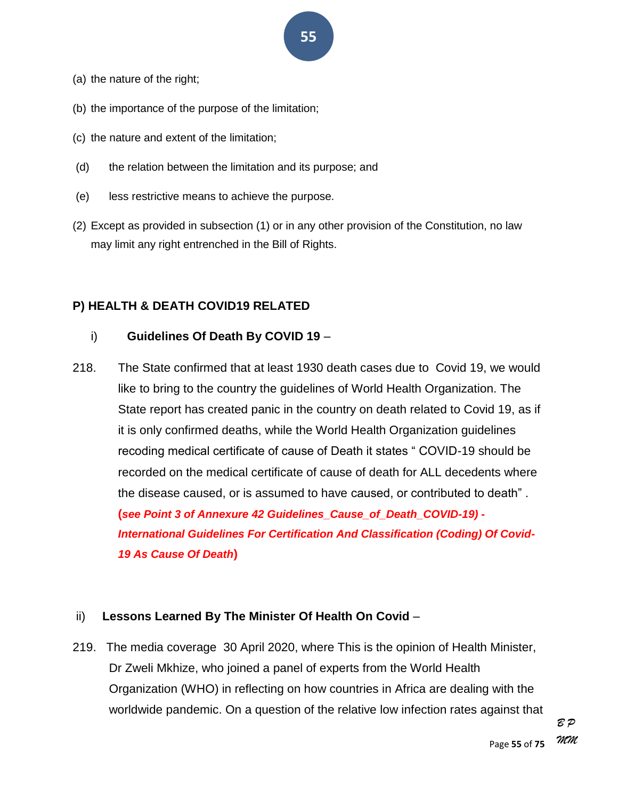- (a) the nature of the right;
- (b) the importance of the purpose of the limitation;
- (c) the nature and extent of the limitation;
- (d) the relation between the limitation and its purpose; and
- (e) less restrictive means to achieve the purpose.
- (2) Except as provided in subsection (1) or in any other provision of the Constitution, no law may limit any right entrenched in the Bill of Rights.

#### **P) HEALTH & DEATH COVID19 RELATED**

#### i) **Guidelines Of Death By COVID 19** –

218. The State confirmed that at least 1930 death cases due to Covid 19, we would like to bring to the country the guidelines of World Health Organization. The State report has created panic in the country on death related to Covid 19, as if it is only confirmed deaths, while the World Health Organization guidelines recoding medical certificate of cause of Death it states "COVID-19 should be recorded on the medical certificate of cause of death for ALL decedents where the disease caused, or is assumed to have caused, or contributed to death‖ .

**(***see Point 3 of Annexure 42 Guidelines\_Cause\_of\_Death\_COVID-19) - International Guidelines For Certification And Classification (Coding) Of Covid-19 As Cause Of Death***)**

#### ii) **Lessons Learned By The Minister Of Health On Covid** –

219. The media coverage 30 April 2020, where This is the opinion of Health Minister, Dr Zweli Mkhize, who joined a panel of experts from the World Health Organization (WHO) in reflecting on how countries in Africa are dealing with the worldwide pandemic. On a question of the relative low infection rates against that

*B P MM*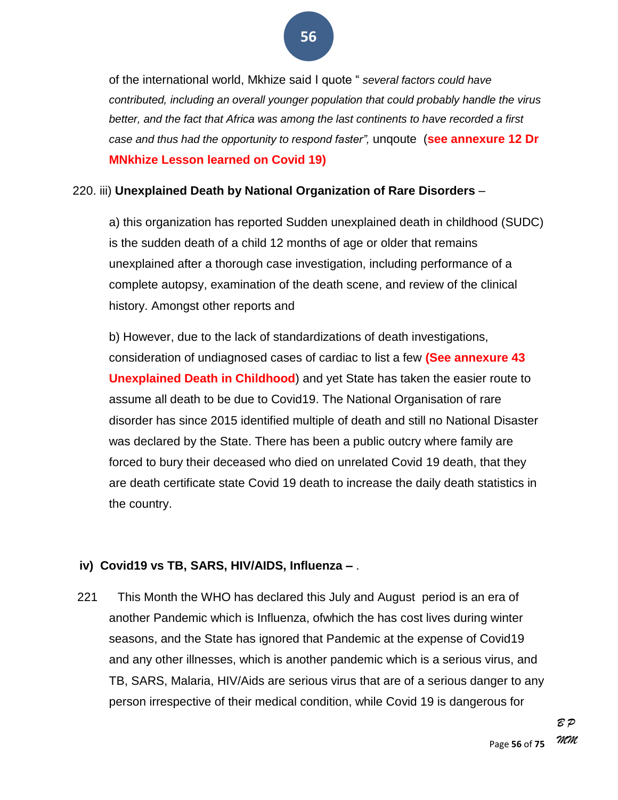of the international world, Mkhize said I quote " several factors could have *contributed, including an overall younger population that could probably handle the virus better, and the fact that Africa was among the last continents to have recorded a first case and thus had the opportunity to respond faster‖,* unqoute (**see annexure 12 Dr MNkhize Lesson learned on Covid 19)**

#### 220. iii) **Unexplained Death by National Organization of Rare Disorders** –

a) this organization has reported Sudden unexplained death in childhood (SUDC) is the sudden death of a child 12 months of age or older that remains unexplained after a thorough case investigation, including performance of a complete autopsy, examination of the death scene, and review of the clinical history. Amongst other reports and

b) However, due to the lack of standardizations of death investigations, consideration of undiagnosed cases of cardiac to list a few **(See annexure 43 Unexplained Death in Childhood**) and yet State has taken the easier route to assume all death to be due to Covid19. The National Organisation of rare disorder has since 2015 identified multiple of death and still no National Disaster was declared by the State. There has been a public outcry where family are forced to bury their deceased who died on unrelated Covid 19 death, that they are death certificate state Covid 19 death to increase the daily death statistics in the country.

#### **iv) Covid19 vs TB, SARS, HIV/AIDS, Influenza –** .

221 This Month the WHO has declared this July and August period is an era of another Pandemic which is Influenza, ofwhich the has cost lives during winter seasons, and the State has ignored that Pandemic at the expense of Covid19 and any other illnesses, which is another pandemic which is a serious virus, and TB, SARS, Malaria, HIV/Aids are serious virus that are of a serious danger to any person irrespective of their medical condition, while Covid 19 is dangerous for

> Page **56** of **75** *B P MM*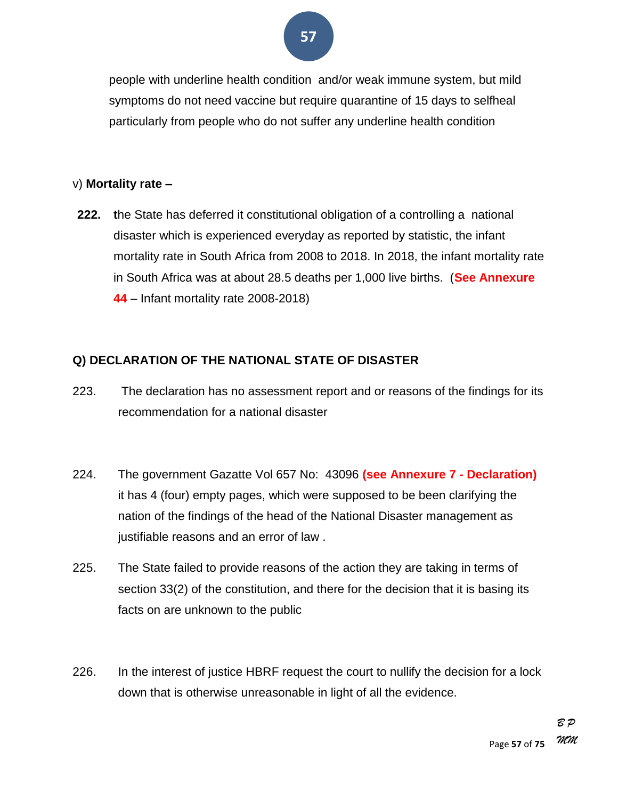

people with underline health condition and/or weak immune system, but mild symptoms do not need vaccine but require quarantine of 15 days to selfheal particularly from people who do not suffer any underline health condition

#### v) **Mortality rate –**

**222. t**he State has deferred it constitutional obligation of a controlling a national disaster which is experienced everyday as reported by statistic, the infant mortality rate in South Africa from 2008 to 2018. In 2018, the infant mortality rate in South Africa was at about 28.5 deaths per 1,000 live births. (**See Annexure 44** – Infant mortality rate 2008-2018)

#### **Q) DECLARATION OF THE NATIONAL STATE OF DISASTER**

- 223. The declaration has no assessment report and or reasons of the findings for its recommendation for a national disaster
- 224. The government Gazatte Vol 657 No: 43096 **(see Annexure 7 - Declaration)** it has 4 (four) empty pages, which were supposed to be been clarifying the nation of the findings of the head of the National Disaster management as justifiable reasons and an error of law .
- 225. The State failed to provide reasons of the action they are taking in terms of section 33(2) of the constitution, and there for the decision that it is basing its facts on are unknown to the public
- 226. In the interest of justice HBRF request the court to nullify the decision for a lock down that is otherwise unreasonable in light of all the evidence.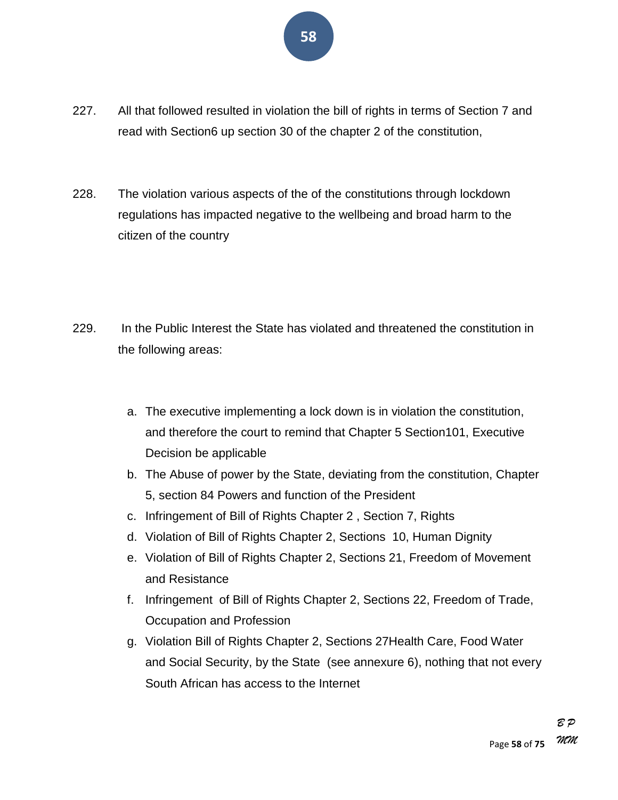- 227. All that followed resulted in violation the bill of rights in terms of Section 7 and read with Section6 up section 30 of the chapter 2 of the constitution,
- 228. The violation various aspects of the of the constitutions through lockdown regulations has impacted negative to the wellbeing and broad harm to the citizen of the country
- 229. In the Public Interest the State has violated and threatened the constitution in the following areas:
	- a. The executive implementing a lock down is in violation the constitution, and therefore the court to remind that Chapter 5 Section101, Executive Decision be applicable
	- b. The Abuse of power by the State, deviating from the constitution, Chapter 5, section 84 Powers and function of the President
	- c. Infringement of Bill of Rights Chapter 2 , Section 7, Rights
	- d. Violation of Bill of Rights Chapter 2, Sections 10, Human Dignity
	- e. Violation of Bill of Rights Chapter 2, Sections 21, Freedom of Movement and Resistance
	- f. Infringement of Bill of Rights Chapter 2, Sections 22, Freedom of Trade, Occupation and Profession
	- g. Violation Bill of Rights Chapter 2, Sections 27Health Care, Food Water and Social Security, by the State (see annexure 6), nothing that not every South African has access to the Internet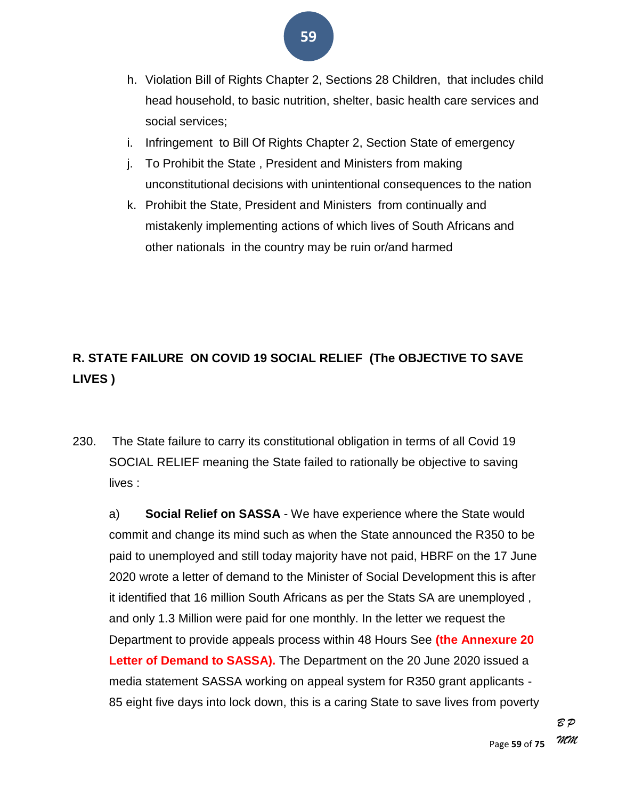- h. Violation Bill of Rights Chapter 2, Sections 28 Children, that includes child head household, to basic nutrition, shelter, basic health care services and social services;
- i. Infringement to Bill Of Rights Chapter 2, Section State of emergency
- j. To Prohibit the State , President and Ministers from making unconstitutional decisions with unintentional consequences to the nation
- k. Prohibit the State, President and Ministers from continually and mistakenly implementing actions of which lives of South Africans and other nationals in the country may be ruin or/and harmed

### **R. STATE FAILURE ON COVID 19 SOCIAL RELIEF (The OBJECTIVE TO SAVE LIVES )**

230. The State failure to carry its constitutional obligation in terms of all Covid 19 SOCIAL RELIEF meaning the State failed to rationally be objective to saving lives :

a) **Social Relief on SASSA** - We have experience where the State would commit and change its mind such as when the State announced the R350 to be paid to unemployed and still today majority have not paid, HBRF on the 17 June 2020 wrote a letter of demand to the Minister of Social Development this is after it identified that 16 million South Africans as per the Stats SA are unemployed , and only 1.3 Million were paid for one monthly. In the letter we request the Department to provide appeals process within 48 Hours See **(the Annexure 20 Letter of Demand to SASSA).** The Department on the 20 June 2020 issued a media statement SASSA working on appeal system for R350 grant applicants - 85 eight five days into lock down, this is a caring State to save lives from poverty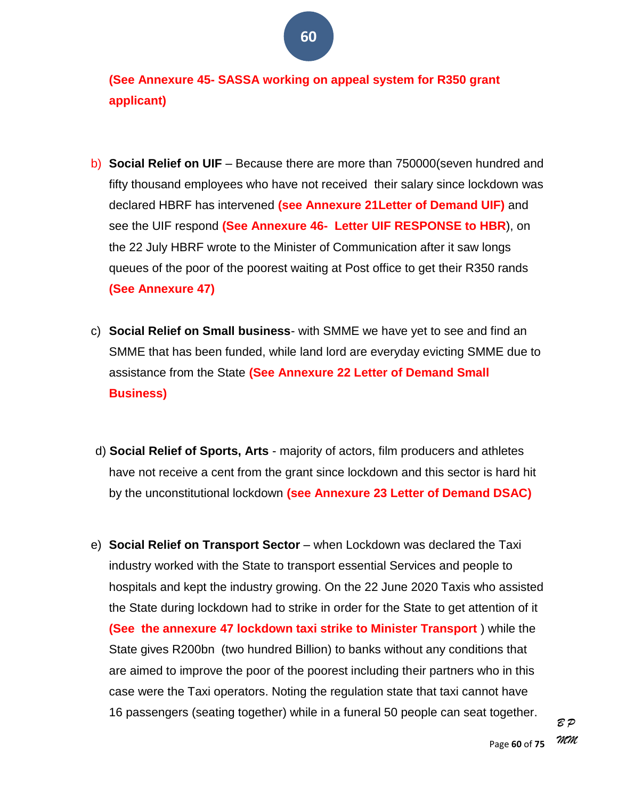**(See Annexure 45- SASSA working on appeal system for R350 grant applicant)**

- b) **Social Relief on UIF** Because there are more than 750000(seven hundred and fifty thousand employees who have not received their salary since lockdown was declared HBRF has intervened **(see Annexure 21Letter of Demand UIF)** and see the UIF respond **(See Annexure 46- Letter UIF RESPONSE to HBR**), on the 22 July HBRF wrote to the Minister of Communication after it saw longs queues of the poor of the poorest waiting at Post office to get their R350 rands **(See Annexure 47)**
- c) **Social Relief on Small business** with SMME we have yet to see and find an SMME that has been funded, while land lord are everyday evicting SMME due to assistance from the State **(See Annexure 22 Letter of Demand Small Business)**
- d) **Social Relief of Sports, Arts** majority of actors, film producers and athletes have not receive a cent from the grant since lockdown and this sector is hard hit by the unconstitutional lockdown **(see Annexure 23 Letter of Demand DSAC)**
- e) **Social Relief on Transport Sector** when Lockdown was declared the Taxi industry worked with the State to transport essential Services and people to hospitals and kept the industry growing. On the 22 June 2020 Taxis who assisted the State during lockdown had to strike in order for the State to get attention of it **(See the annexure 47 lockdown taxi strike to Minister Transport** ) while the State gives R200bn (two hundred Billion) to banks without any conditions that are aimed to improve the poor of the poorest including their partners who in this case were the Taxi operators. Noting the regulation state that taxi cannot have 16 passengers (seating together) while in a funeral 50 people can seat together.

*B P MM*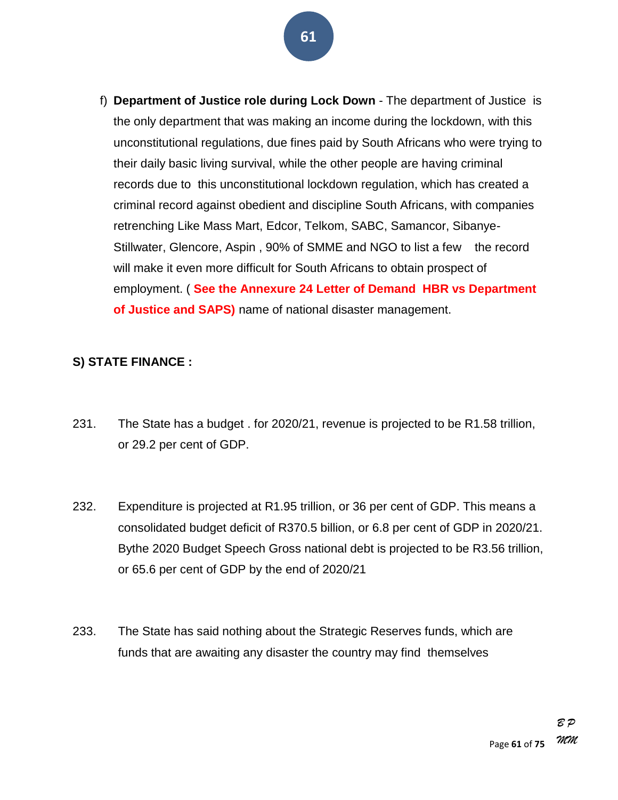- **61**
- f) **Department of Justice role during Lock Down** The department of Justice is the only department that was making an income during the lockdown, with this unconstitutional regulations, due fines paid by South Africans who were trying to their daily basic living survival, while the other people are having criminal records due to this unconstitutional lockdown regulation, which has created a criminal record against obedient and discipline South Africans, with companies retrenching Like Mass Mart, Edcor, Telkom, SABC, Samancor, Sibanye-Stillwater, Glencore, Aspin , 90% of SMME and NGO to list a few the record will make it even more difficult for South Africans to obtain prospect of employment. ( **See the Annexure 24 Letter of Demand HBR vs Department of Justice and SAPS)** name of national disaster management.

#### **S) STATE FINANCE :**

- 231. The State has a budget . for 2020/21, revenue is projected to be R1.58 trillion, or 29.2 per cent of GDP.
- 232. Expenditure is projected at R1.95 trillion, or 36 per cent of GDP. This means a consolidated budget deficit of R370.5 billion, or 6.8 per cent of GDP in 2020/21. Bythe 2020 Budget Speech Gross national debt is projected to be R3.56 trillion, or 65.6 per cent of GDP by the end of 2020/21
- 233. The State has said nothing about the Strategic Reserves funds, which are funds that are awaiting any disaster the country may find themselves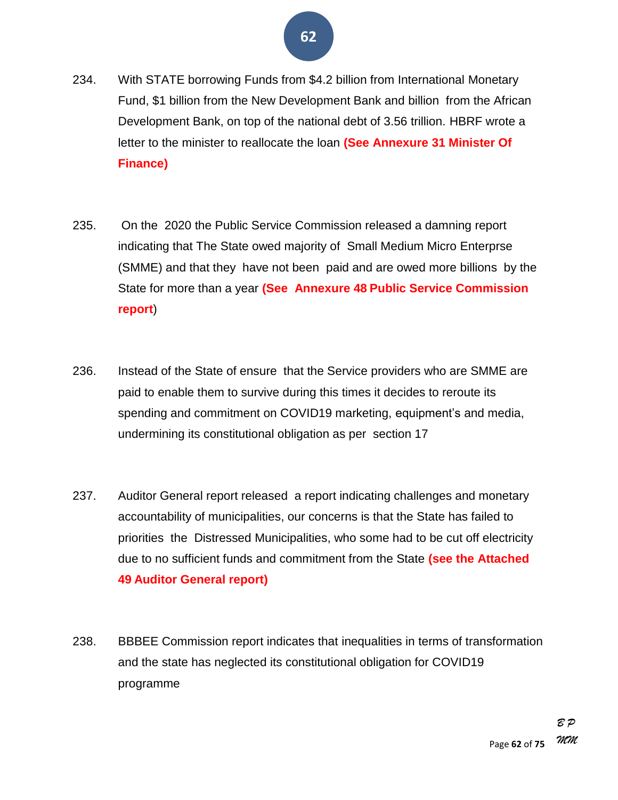- 234. With STATE borrowing Funds from \$4.2 billion from International Monetary Fund, \$1 billion from the New Development Bank and billion from the African Development Bank, on top of the national debt of 3.56 trillion. HBRF wrote a letter to the minister to reallocate the loan **(See Annexure 31 Minister Of Finance)**
- 235. On the 2020 the Public Service Commission released a damning report indicating that The State owed majority of Small Medium Micro Enterprse (SMME) and that they have not been paid and are owed more billions by the State for more than a year **(See Annexure 48 Public Service Commission report**)
- 236. Instead of the State of ensure that the Service providers who are SMME are paid to enable them to survive during this times it decides to reroute its spending and commitment on COVID19 marketing, equipment's and media, undermining its constitutional obligation as per section 17
- 237. Auditor General report released a report indicating challenges and monetary accountability of municipalities, our concerns is that the State has failed to priorities the Distressed Municipalities, who some had to be cut off electricity due to no sufficient funds and commitment from the State **(see the Attached 49 Auditor General report)**
- 238. BBBEE Commission report indicates that inequalities in terms of transformation and the state has neglected its constitutional obligation for COVID19 programme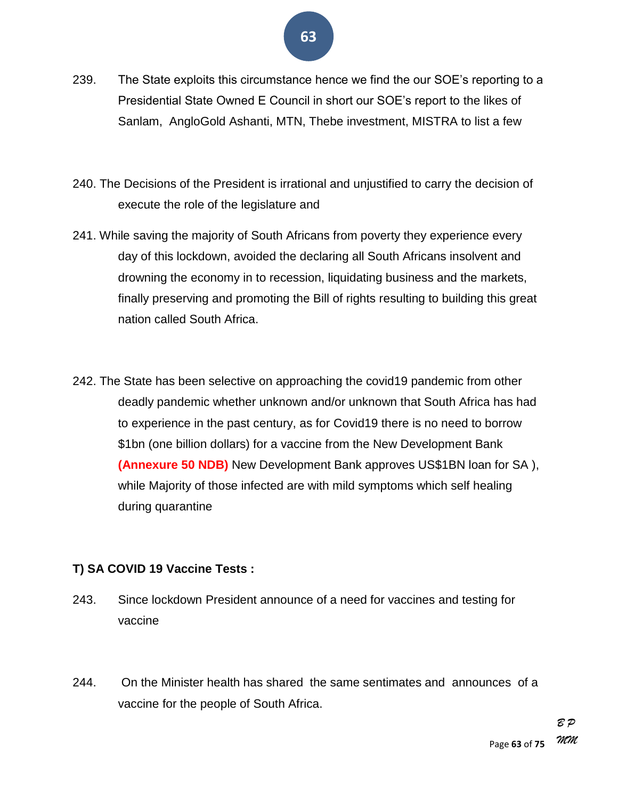- 239. The State exploits this circumstance hence we find the our SOE's reporting to a Presidential State Owned E Council in short our SOE's report to the likes of Sanlam, AngloGold Ashanti, MTN, Thebe investment, MISTRA to list a few
- 240. The Decisions of the President is irrational and unjustified to carry the decision of execute the role of the legislature and
- 241. While saving the majority of South Africans from poverty they experience every day of this lockdown, avoided the declaring all South Africans insolvent and drowning the economy in to recession, liquidating business and the markets, finally preserving and promoting the Bill of rights resulting to building this great nation called South Africa.
- 242. The State has been selective on approaching the covid19 pandemic from other deadly pandemic whether unknown and/or unknown that South Africa has had to experience in the past century, as for Covid19 there is no need to borrow \$1bn (one billion dollars) for a vaccine from the New Development Bank **(Annexure 50 NDB)** New Development Bank approves US\$1BN loan for SA ), while Majority of those infected are with mild symptoms which self healing during quarantine

#### **T) SA COVID 19 Vaccine Tests :**

- 243. Since lockdown President announce of a need for vaccines and testing for vaccine
- 244. On the Minister health has shared the same sentimates and announces of a vaccine for the people of South Africa.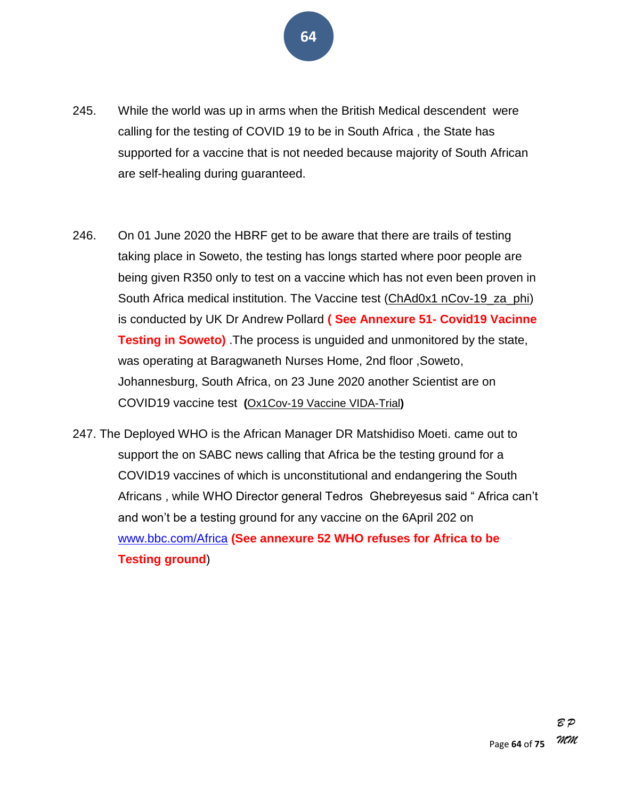- **64**
- 245. While the world was up in arms when the British Medical descendent were calling for the testing of COVID 19 to be in South Africa , the State has supported for a vaccine that is not needed because majority of South African are self-healing during guaranteed.
- 246. On 01 June 2020 the HBRF get to be aware that there are trails of testing taking place in Soweto, the testing has longs started where poor people are being given R350 only to test on a vaccine which has not even been proven in South Africa medical institution. The Vaccine test (ChAd0x1 nCov-19\_za\_phi) is conducted by UK Dr Andrew Pollard **( See Annexure 51- Covid19 Vacinne Testing in Soweto)** .The process is unguided and unmonitored by the state, was operating at Baragwaneth Nurses Home, 2nd floor ,Soweto, Johannesburg, South Africa, on 23 June 2020 another Scientist are on COVID19 vaccine test **(**Ox1Cov-19 Vaccine VIDA-Trial**)**
- 247. The Deployed WHO is the African Manager DR Matshidiso Moeti. came out to support the on SABC news calling that Africa be the testing ground for a COVID19 vaccines of which is unconstitutional and endangering the South Africans, while WHO Director general Tedros Ghebreyesus said "Africa can't and won't be a testing ground for any vaccine on the 6April 202 on [www.bbc.com/Africa](http://www.bbc.com/Africa) **(See annexure 52 WHO refuses for Africa to be Testing ground**)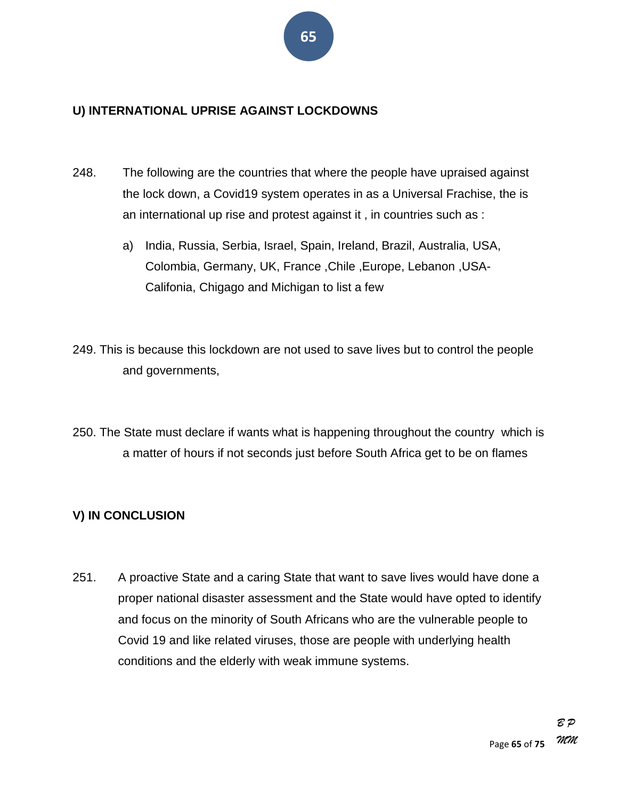#### **U) INTERNATIONAL UPRISE AGAINST LOCKDOWNS**

- 248. The following are the countries that where the people have upraised against the lock down, a Covid19 system operates in as a Universal Frachise, the is an international up rise and protest against it , in countries such as :
	- a) India, Russia, Serbia, Israel, Spain, Ireland, Brazil, Australia, USA, Colombia, Germany, UK, France ,Chile ,Europe, Lebanon ,USA-Califonia, Chigago and Michigan to list a few
- 249. This is because this lockdown are not used to save lives but to control the people and governments,
- 250. The State must declare if wants what is happening throughout the country which is a matter of hours if not seconds just before South Africa get to be on flames

#### **V) IN CONCLUSION**

251. A proactive State and a caring State that want to save lives would have done a proper national disaster assessment and the State would have opted to identify and focus on the minority of South Africans who are the vulnerable people to Covid 19 and like related viruses, those are people with underlying health conditions and the elderly with weak immune systems.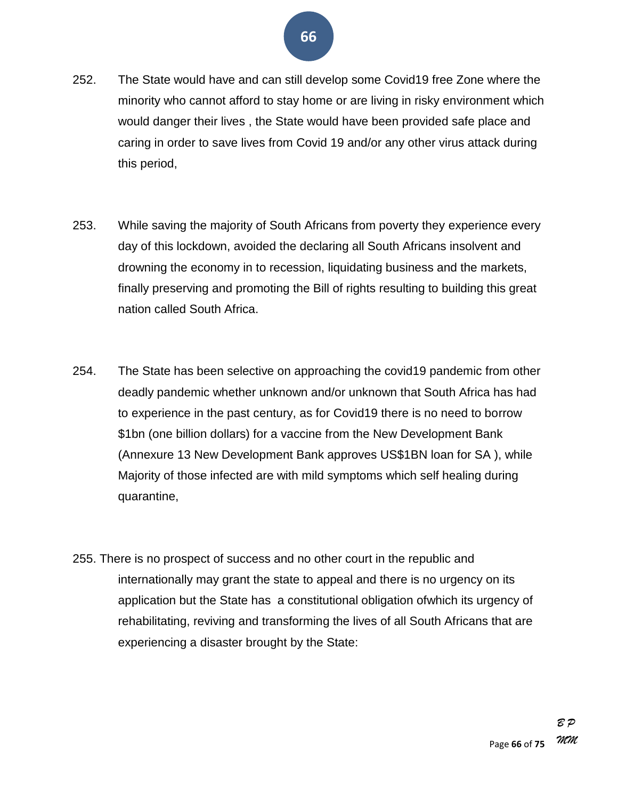- 252. The State would have and can still develop some Covid19 free Zone where the minority who cannot afford to stay home or are living in risky environment which would danger their lives , the State would have been provided safe place and caring in order to save lives from Covid 19 and/or any other virus attack during this period,
- 253. While saving the majority of South Africans from poverty they experience every day of this lockdown, avoided the declaring all South Africans insolvent and drowning the economy in to recession, liquidating business and the markets, finally preserving and promoting the Bill of rights resulting to building this great nation called South Africa.
- 254. The State has been selective on approaching the covid19 pandemic from other deadly pandemic whether unknown and/or unknown that South Africa has had to experience in the past century, as for Covid19 there is no need to borrow \$1bn (one billion dollars) for a vaccine from the New Development Bank (Annexure 13 New Development Bank approves US\$1BN loan for SA ), while Majority of those infected are with mild symptoms which self healing during quarantine,
- 255. There is no prospect of success and no other court in the republic and internationally may grant the state to appeal and there is no urgency on its application but the State has a constitutional obligation ofwhich its urgency of rehabilitating, reviving and transforming the lives of all South Africans that are experiencing a disaster brought by the State: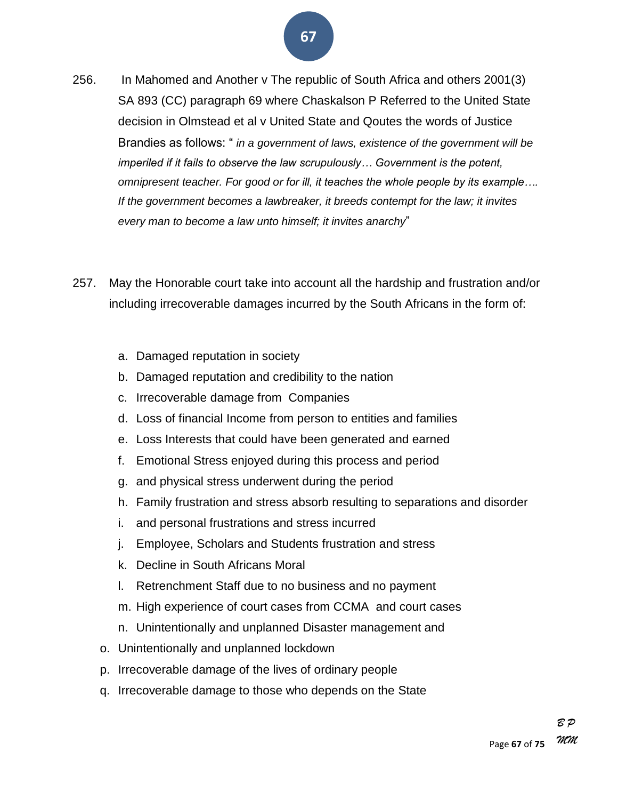- 256. In Mahomed and Another v The republic of South Africa and others 2001(3) SA 893 (CC) paragraph 69 where Chaskalson P Referred to the United State decision in Olmstead et al v United State and Qoutes the words of Justice Brandies as follows: " *in a government of laws, existence of the government will be imperiled if it fails to observe the law scrupulously… Government is the potent, omnipresent teacher. For good or for ill, it teaches the whole people by its example…. If the government becomes a lawbreaker, it breeds contempt for the law; it invites*  every man to become a law unto himself; it invites anarchy"
- 257. May the Honorable court take into account all the hardship and frustration and/or including irrecoverable damages incurred by the South Africans in the form of:
	- a. Damaged reputation in society
	- b. Damaged reputation and credibility to the nation
	- c. Irrecoverable damage from Companies
	- d. Loss of financial Income from person to entities and families
	- e. Loss Interests that could have been generated and earned
	- f. Emotional Stress enjoyed during this process and period
	- g. and physical stress underwent during the period
	- h. Family frustration and stress absorb resulting to separations and disorder
	- i. and personal frustrations and stress incurred
	- j. Employee, Scholars and Students frustration and stress
	- k. Decline in South Africans Moral
	- l. Retrenchment Staff due to no business and no payment
	- m. High experience of court cases from CCMA and court cases
	- n. Unintentionally and unplanned Disaster management and
	- o. Unintentionally and unplanned lockdown
	- p. Irrecoverable damage of the lives of ordinary people
	- q. Irrecoverable damage to those who depends on the State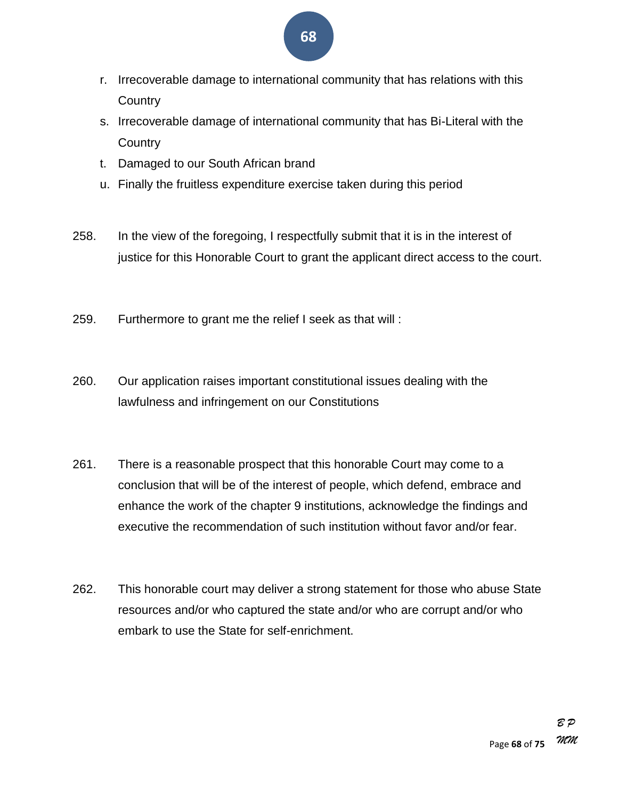- **68**
- r. Irrecoverable damage to international community that has relations with this **Country**
- s. Irrecoverable damage of international community that has Bi-Literal with the **Country**
- t. Damaged to our South African brand
- u. Finally the fruitless expenditure exercise taken during this period
- 258. In the view of the foregoing, I respectfully submit that it is in the interest of justice for this Honorable Court to grant the applicant direct access to the court.
- 259. Furthermore to grant me the relief I seek as that will :
- 260. Our application raises important constitutional issues dealing with the lawfulness and infringement on our Constitutions
- 261. There is a reasonable prospect that this honorable Court may come to a conclusion that will be of the interest of people, which defend, embrace and enhance the work of the chapter 9 institutions, acknowledge the findings and executive the recommendation of such institution without favor and/or fear.
- 262. This honorable court may deliver a strong statement for those who abuse State resources and/or who captured the state and/or who are corrupt and/or who embark to use the State for self-enrichment.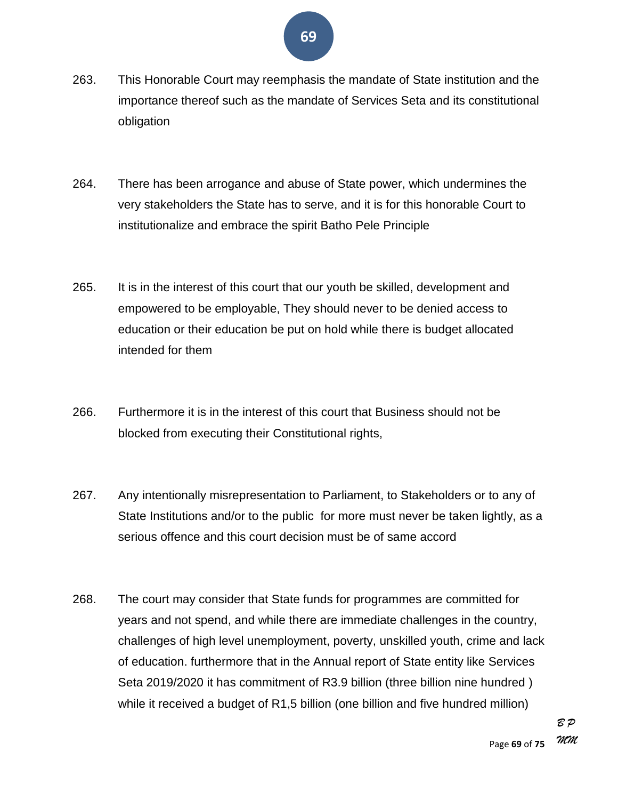- 263. This Honorable Court may reemphasis the mandate of State institution and the importance thereof such as the mandate of Services Seta and its constitutional obligation
- 264. There has been arrogance and abuse of State power, which undermines the very stakeholders the State has to serve, and it is for this honorable Court to institutionalize and embrace the spirit Batho Pele Principle
- 265. It is in the interest of this court that our youth be skilled, development and empowered to be employable, They should never to be denied access to education or their education be put on hold while there is budget allocated intended for them
- 266. Furthermore it is in the interest of this court that Business should not be blocked from executing their Constitutional rights,
- 267. Any intentionally misrepresentation to Parliament, to Stakeholders or to any of State Institutions and/or to the public for more must never be taken lightly, as a serious offence and this court decision must be of same accord
- 268. The court may consider that State funds for programmes are committed for years and not spend, and while there are immediate challenges in the country, challenges of high level unemployment, poverty, unskilled youth, crime and lack of education. furthermore that in the Annual report of State entity like Services Seta 2019/2020 it has commitment of R3.9 billion (three billion nine hundred ) while it received a budget of R1,5 billion (one billion and five hundred million)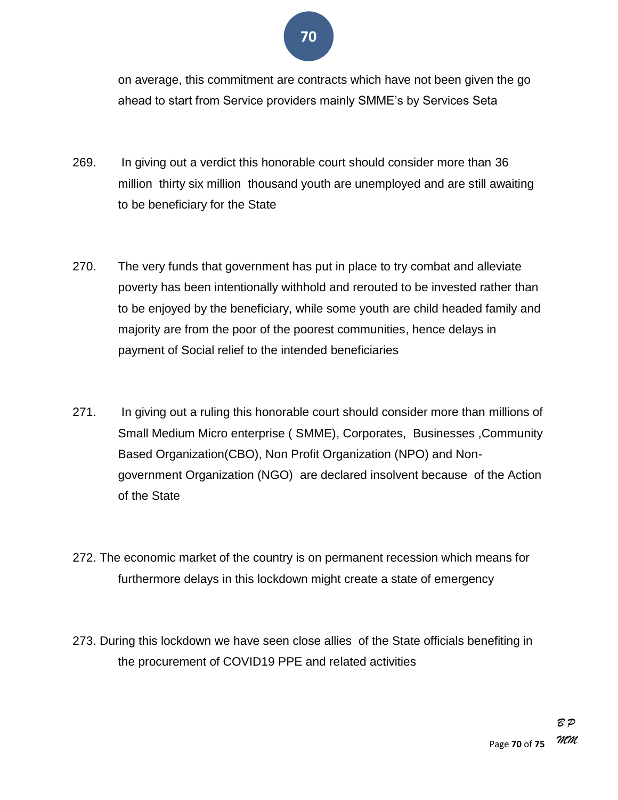on average, this commitment are contracts which have not been given the go ahead to start from Service providers mainly SMME's by Services Seta

- 269. In giving out a verdict this honorable court should consider more than 36 million thirty six million thousand youth are unemployed and are still awaiting to be beneficiary for the State
- 270. The very funds that government has put in place to try combat and alleviate poverty has been intentionally withhold and rerouted to be invested rather than to be enjoyed by the beneficiary, while some youth are child headed family and majority are from the poor of the poorest communities, hence delays in payment of Social relief to the intended beneficiaries
- 271. In giving out a ruling this honorable court should consider more than millions of Small Medium Micro enterprise ( SMME), Corporates, Businesses ,Community Based Organization(CBO), Non Profit Organization (NPO) and Nongovernment Organization (NGO) are declared insolvent because of the Action of the State
- 272. The economic market of the country is on permanent recession which means for furthermore delays in this lockdown might create a state of emergency
- 273. During this lockdown we have seen close allies of the State officials benefiting in the procurement of COVID19 PPE and related activities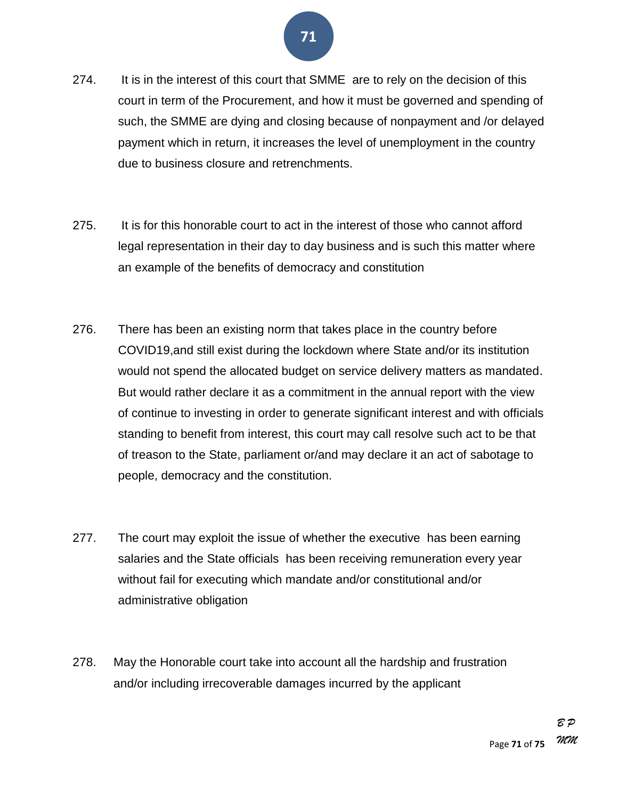

- 274. It is in the interest of this court that SMME are to rely on the decision of this court in term of the Procurement, and how it must be governed and spending of such, the SMME are dying and closing because of nonpayment and /or delayed payment which in return, it increases the level of unemployment in the country due to business closure and retrenchments.
- 275. It is for this honorable court to act in the interest of those who cannot afford legal representation in their day to day business and is such this matter where an example of the benefits of democracy and constitution
- 276. There has been an existing norm that takes place in the country before COVID19,and still exist during the lockdown where State and/or its institution would not spend the allocated budget on service delivery matters as mandated. But would rather declare it as a commitment in the annual report with the view of continue to investing in order to generate significant interest and with officials standing to benefit from interest, this court may call resolve such act to be that of treason to the State, parliament or/and may declare it an act of sabotage to people, democracy and the constitution.
- 277. The court may exploit the issue of whether the executive has been earning salaries and the State officials has been receiving remuneration every year without fail for executing which mandate and/or constitutional and/or administrative obligation
- 278. May the Honorable court take into account all the hardship and frustration and/or including irrecoverable damages incurred by the applicant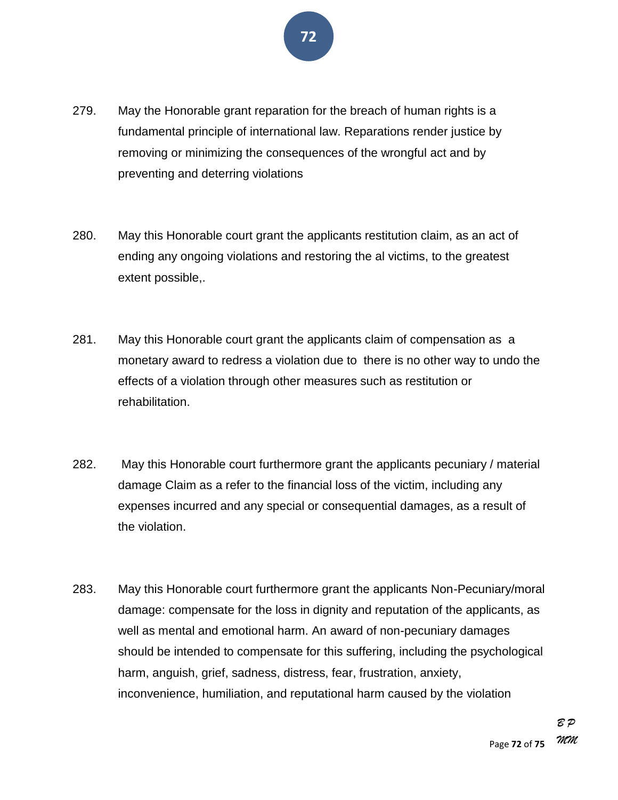

- 279. May the Honorable grant reparation for the breach of human rights is a fundamental principle of international law. Reparations render justice by removing or minimizing the consequences of the wrongful act and by preventing and deterring violations
- 280. May this Honorable court grant the applicants restitution claim, as an act of ending any ongoing violations and restoring the al victims, to the greatest extent possible,.
- 281. May this Honorable court grant the applicants claim of compensation as a monetary award to redress a violation due to there is no other way to undo the effects of a violation through other measures such as restitution or rehabilitation.
- 282. May this Honorable court furthermore grant the applicants pecuniary / material damage Claim as a refer to the financial loss of the victim, including any expenses incurred and any special or consequential damages, as a result of the violation.
- 283. May this Honorable court furthermore grant the applicants Non-Pecuniary/moral damage: compensate for the loss in dignity and reputation of the applicants, as well as mental and emotional harm. An award of non-pecuniary damages should be intended to compensate for this suffering, including the psychological harm, anguish, grief, sadness, distress, fear, frustration, anxiety, inconvenience, humiliation, and reputational harm caused by the violation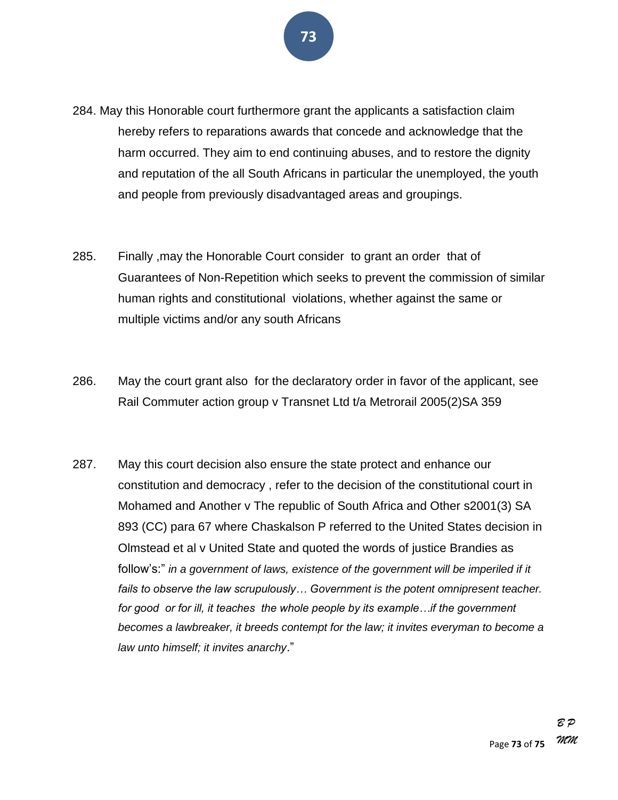- 284. May this Honorable court furthermore grant the applicants a satisfaction claim hereby refers to reparations awards that concede and acknowledge that the harm occurred. They aim to end continuing abuses, and to restore the dignity and reputation of the all South Africans in particular the unemployed, the youth and people from previously disadvantaged areas and groupings.
- 285. Finally ,may the Honorable Court consider to grant an order that of Guarantees of Non-Repetition which seeks to prevent the commission of similar human rights and constitutional violations, whether against the same or multiple victims and/or any south Africans
- 286. May the court grant also for the declaratory order in favor of the applicant, see Rail Commuter action group v Transnet Ltd t/a Metrorail 2005(2)SA 359
- 287. May this court decision also ensure the state protect and enhance our constitution and democracy , refer to the decision of the constitutional court in Mohamed and Another v The republic of South Africa and Other s2001(3) SA 893 (CC) para 67 where Chaskalson P referred to the United States decision in Olmstead et al v United State and quoted the words of justice Brandies as follow's:" in a government of laws, existence of the government will be imperiled if it *fails to observe the law scrupulously… Government is the potent omnipresent teacher. for good or for ill, it teaches the whole people by its example…if the government becomes a lawbreaker, it breeds contempt for the law; it invites everyman to become a law unto himself; it invites anarchy*.‖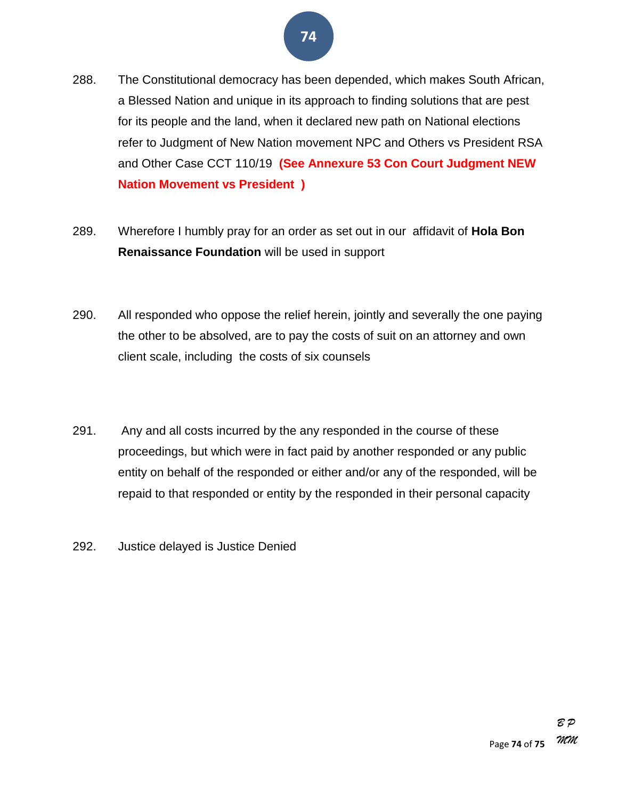## **74**

- 288. The Constitutional democracy has been depended, which makes South African, a Blessed Nation and unique in its approach to finding solutions that are pest for its people and the land, when it declared new path on National elections refer to Judgment of New Nation movement NPC and Others vs President RSA and Other Case CCT 110/19 **(See Annexure 53 Con Court Judgment NEW Nation Movement vs President )**
- 289. Wherefore I humbly pray for an order as set out in our affidavit of **Hola Bon Renaissance Foundation** will be used in support
- 290. All responded who oppose the relief herein, jointly and severally the one paying the other to be absolved, are to pay the costs of suit on an attorney and own client scale, including the costs of six counsels
- 291. Any and all costs incurred by the any responded in the course of these proceedings, but which were in fact paid by another responded or any public entity on behalf of the responded or either and/or any of the responded, will be repaid to that responded or entity by the responded in their personal capacity
- 292. Justice delayed is Justice Denied